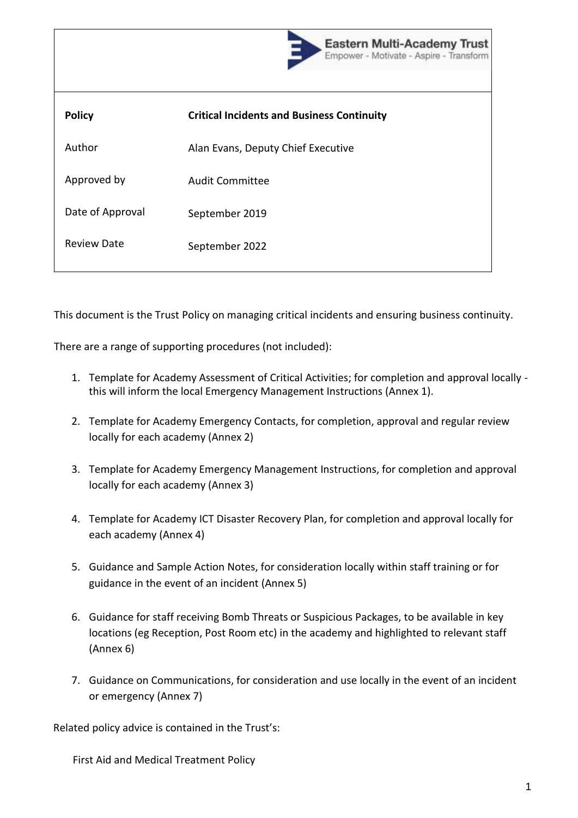|                    | <b>Eastern Multi-Academy Trust</b><br>Empower - Motivate - Aspire - Transform |
|--------------------|-------------------------------------------------------------------------------|
| <b>Policy</b>      | <b>Critical Incidents and Business Continuity</b>                             |
| Author             | Alan Evans, Deputy Chief Executive                                            |
| Approved by        | <b>Audit Committee</b>                                                        |
| Date of Approval   | September 2019                                                                |
| <b>Review Date</b> | September 2022                                                                |

This document is the Trust Policy on managing critical incidents and ensuring business continuity.

There are a range of supporting procedures (not included):

- 1. Template for Academy Assessment of Critical Activities; for completion and approval locally this will inform the local Emergency Management Instructions (Annex 1).
- 2. Template for Academy Emergency Contacts, for completion, approval and regular review locally for each academy (Annex 2)
- 3. Template for Academy Emergency Management Instructions, for completion and approval locally for each academy (Annex 3)
- 4. Template for Academy ICT Disaster Recovery Plan, for completion and approval locally for each academy (Annex 4)
- 5. Guidance and Sample Action Notes, for consideration locally within staff training or for guidance in the event of an incident (Annex 5)
- 6. Guidance for staff receiving Bomb Threats or Suspicious Packages, to be available in key locations (eg Reception, Post Room etc) in the academy and highlighted to relevant staff (Annex 6)
- 7. Guidance on Communications, for consideration and use locally in the event of an incident or emergency (Annex 7)

Related policy advice is contained in the Trust's:

First Aid and Medical Treatment Policy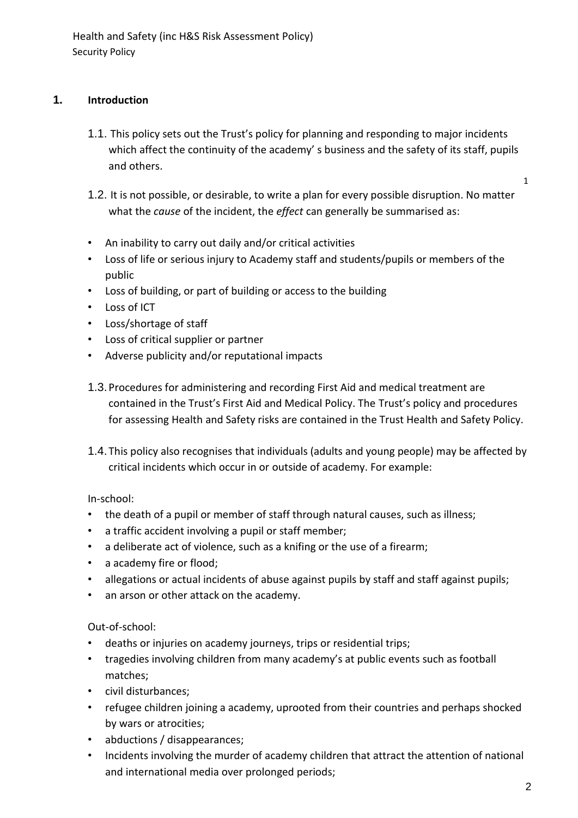# **1. Introduction**

- 1.1. This policy sets out the Trust's policy for planning and responding to major incidents which affect the continuity of the academy's business and the safety of its staff, pupils and others.
- 1.2. It is not possible, or desirable, to write a plan for every possible disruption. No matter what the *cause* of the incident, the *effect* can generally be summarised as:
- An inability to carry out daily and/or critical activities
- Loss of life or serious injury to Academy staff and students/pupils or members of the public
- Loss of building, or part of building or access to the building
- Loss of ICT
- Loss/shortage of staff
- Loss of critical supplier or partner
- Adverse publicity and/or reputational impacts
- 1.3.Procedures for administering and recording First Aid and medical treatment are contained in the Trust's First Aid and Medical Policy. The Trust's policy and procedures for assessing Health and Safety risks are contained in the Trust Health and Safety Policy.
- 1.4. This policy also recognises that individuals (adults and young people) may be affected by critical incidents which occur in or outside of academy. For example:

In-school:

- the death of a pupil or member of staff through natural causes, such as illness;
- a traffic accident involving a pupil or staff member;
- a deliberate act of violence, such as a knifing or the use of a firearm;
- a academy fire or flood;
- allegations or actual incidents of abuse against pupils by staff and staff against pupils;
- an arson or other attack on the academy.

Out-of-school:

- deaths or injuries on academy journeys, trips or residential trips;
- tragedies involving children from many academy's at public events such as football matches;
- civil disturbances;
- refugee children joining a academy, uprooted from their countries and perhaps shocked by wars or atrocities;
- abductions / disappearances;
- Incidents involving the murder of academy children that attract the attention of national and international media over prolonged periods;

1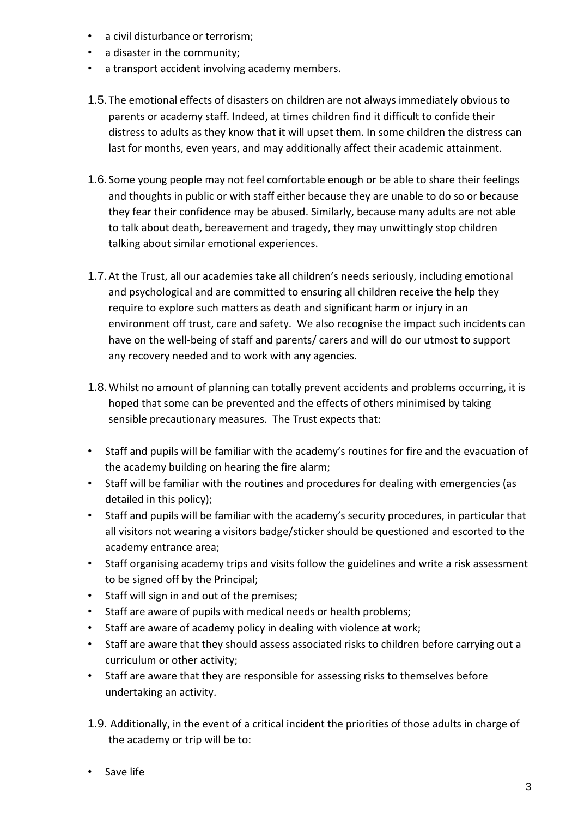- a civil disturbance or terrorism;
- a disaster in the community;
- a transport accident involving academy members.
- 1.5. The emotional effects of disasters on children are not always immediately obvious to parents or academy staff. Indeed, at times children find it difficult to confide their distress to adults as they know that it will upset them. In some children the distress can last for months, even years, and may additionally affect their academic attainment.
- 1.6. Some young people may not feel comfortable enough or be able to share their feelings and thoughts in public or with staff either because they are unable to do so or because they fear their confidence may be abused. Similarly, because many adults are not able to talk about death, bereavement and tragedy, they may unwittingly stop children talking about similar emotional experiences.
- 1.7.At the Trust, all our academies take all children's needs seriously, including emotional and psychological and are committed to ensuring all children receive the help they require to explore such matters as death and significant harm or injury in an environment off trust, care and safety. We also recognise the impact such incidents can have on the well-being of staff and parents/ carers and will do our utmost to support any recovery needed and to work with any agencies.
- 1.8.Whilst no amount of planning can totally prevent accidents and problems occurring, it is hoped that some can be prevented and the effects of others minimised by taking sensible precautionary measures. The Trust expects that:
- Staff and pupils will be familiar with the academy's routines for fire and the evacuation of the academy building on hearing the fire alarm;
- Staff will be familiar with the routines and procedures for dealing with emergencies (as detailed in this policy);
- Staff and pupils will be familiar with the academy's security procedures, in particular that all visitors not wearing a visitors badge/sticker should be questioned and escorted to the academy entrance area;
- Staff organising academy trips and visits follow the guidelines and write a risk assessment to be signed off by the Principal;
- Staff will sign in and out of the premises;
- Staff are aware of pupils with medical needs or health problems;
- Staff are aware of academy policy in dealing with violence at work;
- Staff are aware that they should assess associated risks to children before carrying out a curriculum or other activity;
- Staff are aware that they are responsible for assessing risks to themselves before undertaking an activity.
- 1.9. Additionally, in the event of a critical incident the priorities of those adults in charge of the academy or trip will be to:
- Save life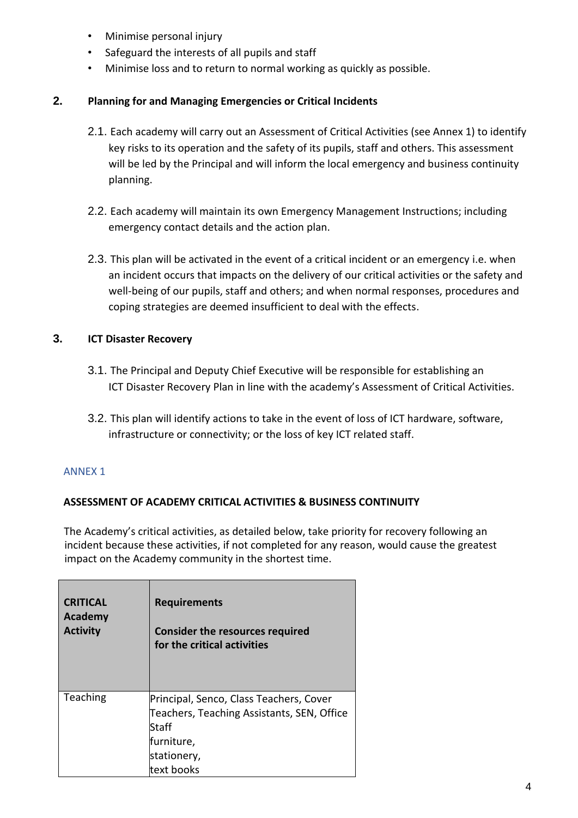- Minimise personal injury
- Safeguard the interests of all pupils and staff
- Minimise loss and to return to normal working as quickly as possible.

## **2. Planning for and Managing Emergencies or Critical Incidents**

- 2.1. Each academy will carry out an Assessment of Critical Activities (see Annex 1) to identify key risks to its operation and the safety of its pupils, staff and others. This assessment will be led by the Principal and will inform the local emergency and business continuity planning.
- 2.2. Each academy will maintain its own Emergency Management Instructions; including emergency contact details and the action plan.
- 2.3. This plan will be activated in the event of a critical incident or an emergency i.e. when an incident occurs that impacts on the delivery of our critical activities or the safety and well-being of our pupils, staff and others; and when normal responses, procedures and coping strategies are deemed insufficient to deal with the effects.

# **3. ICT Disaster Recovery**

- 3.1. The Principal and Deputy Chief Executive will be responsible for establishing an ICT Disaster Recovery Plan in line with the academy's Assessment of Critical Activities.
- 3.2. This plan will identify actions to take in the event of loss of ICT hardware, software, infrastructure or connectivity; or the loss of key ICT related staff.

# ANNEX 1

# **ASSESSMENT OF ACADEMY CRITICAL ACTIVITIES & BUSINESS CONTINUITY**

The Academy's critical activities, as detailed below, take priority for recovery following an incident because these activities, if not completed for any reason, would cause the greatest impact on the Academy community in the shortest time.

| <b>CRITICAL</b> | <b>Requirements</b>                                                                                                                       |
|-----------------|-------------------------------------------------------------------------------------------------------------------------------------------|
| <b>Academy</b>  | <b>Consider the resources required</b>                                                                                                    |
| <b>Activity</b> | for the critical activities                                                                                                               |
| Teaching        | Principal, Senco, Class Teachers, Cover<br>Teachers, Teaching Assistants, SEN, Office<br>Staff<br>furniture,<br>stationery,<br>text books |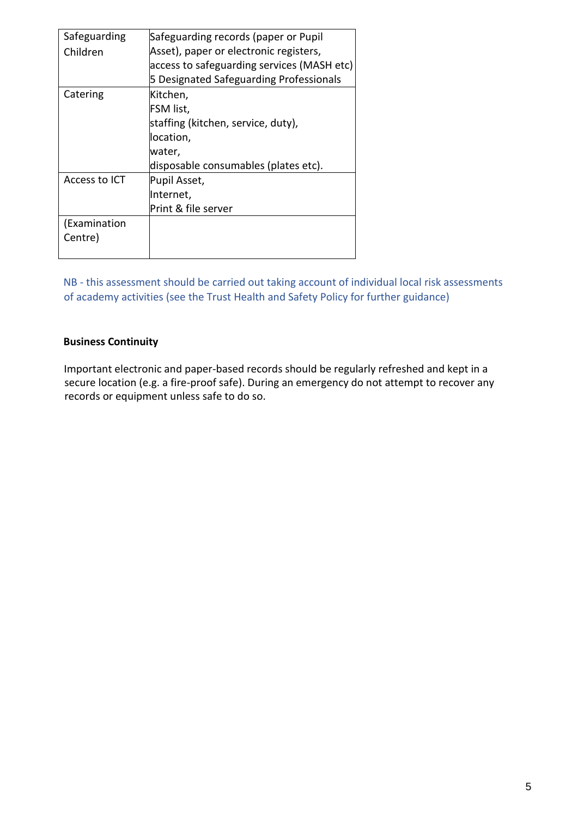| Safeguarding  | Safeguarding records (paper or Pupil       |
|---------------|--------------------------------------------|
| Children      | Asset), paper or electronic registers,     |
|               | access to safeguarding services (MASH etc) |
|               | 5 Designated Safeguarding Professionals    |
| Catering      | Kitchen,                                   |
|               | FSM list,                                  |
|               | staffing (kitchen, service, duty),         |
|               | location,                                  |
|               | water,                                     |
|               | disposable consumables (plates etc).       |
| Access to ICT | Pupil Asset,                               |
|               | Internet,                                  |
|               | Print & file server                        |
| (Examination  |                                            |
| Centre)       |                                            |
|               |                                            |

NB - this assessment should be carried out taking account of individual local risk assessments of academy activities (see the Trust Health and Safety Policy for further guidance)

## **Business Continuity**

Important electronic and paper-based records should be regularly refreshed and kept in a secure location (e.g. a fire-proof safe). During an emergency do not attempt to recover any records or equipment unless safe to do so.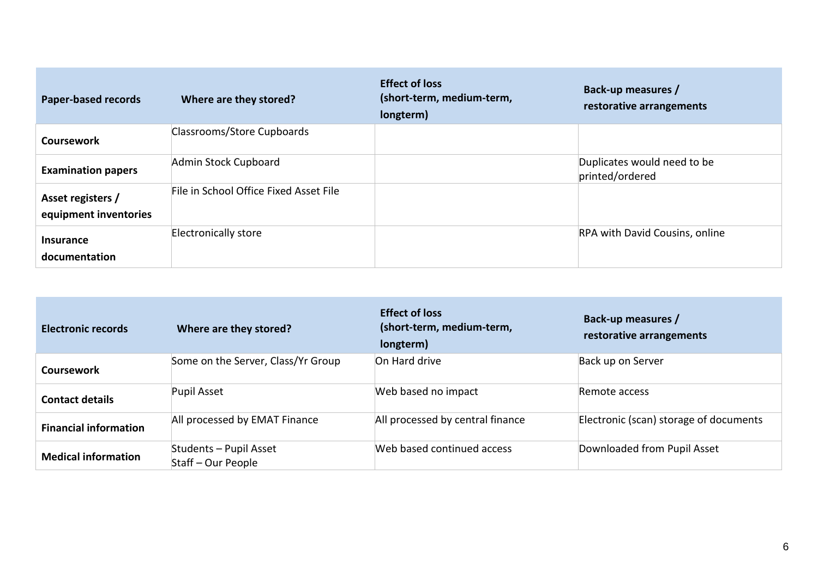| <b>Paper-based records</b>                 | Where are they stored?                 | <b>Effect of loss</b><br>(short-term, medium-term,<br>longterm) | Back-up measures /<br>restorative arrangements |
|--------------------------------------------|----------------------------------------|-----------------------------------------------------------------|------------------------------------------------|
| <b>Coursework</b>                          | Classrooms/Store Cupboards             |                                                                 |                                                |
| <b>Examination papers</b>                  | Admin Stock Cupboard                   |                                                                 | Duplicates would need to be<br>printed/ordered |
| Asset registers /<br>equipment inventories | File in School Office Fixed Asset File |                                                                 |                                                |
| Insurance<br>documentation                 | <b>Electronically store</b>            |                                                                 | <b>RPA with David Cousins, online</b>          |

| <b>Electronic records</b>    | Where are they stored?                       | <b>Effect of loss</b><br>(short-term, medium-term,<br>longterm) | Back-up measures /<br>restorative arrangements |
|------------------------------|----------------------------------------------|-----------------------------------------------------------------|------------------------------------------------|
| Coursework                   | Some on the Server, Class/Yr Group           | On Hard drive                                                   | Back up on Server                              |
| <b>Contact details</b>       | Pupil Asset                                  | Web based no impact                                             | Remote access                                  |
| <b>Financial information</b> | All processed by EMAT Finance                | All processed by central finance                                | Electronic (scan) storage of documents         |
| <b>Medical information</b>   | Students - Pupil Asset<br>Staff – Our People | Web based continued access                                      | Downloaded from Pupil Asset                    |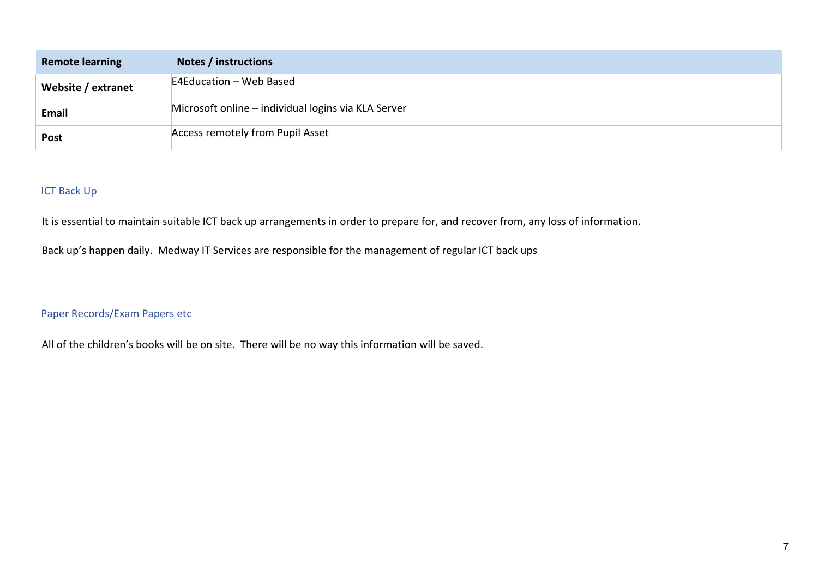| <b>Remote learning</b> | Notes / instructions                                |
|------------------------|-----------------------------------------------------|
| Website / extranet     | E4Education - Web Based                             |
| Email                  | Microsoft online – individual logins via KLA Server |
| <b>Post</b>            | <b>Access remotely from Pupil Asset</b>             |

# ICT Back Up

It is essential to maintain suitable ICT back up arrangements in order to prepare for, and recover from, any loss of information.

Back up's happen daily. Medway IT Services are responsible for the management of regular ICT back ups

Paper Records/Exam Papers etc

All of the children's books will be on site. There will be no way this information will be saved.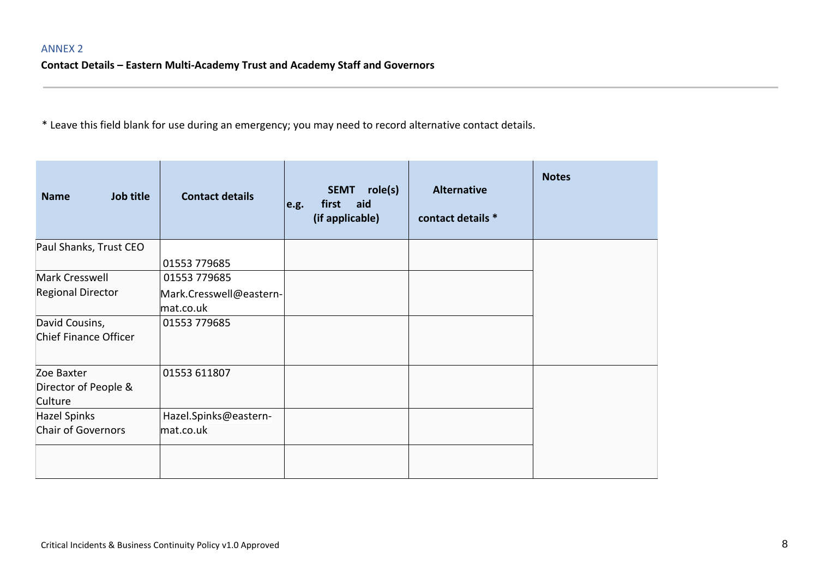**Contact Details – Eastern Multi-Academy Trust and Academy Staff and Governors**

| Job title<br><b>Name</b>  | <b>Contact details</b>  | e.g. | role(s)<br><b>SEMT</b><br>aid<br>first<br>(if applicable) | <b>Alternative</b><br>contact details * | <b>Notes</b> |
|---------------------------|-------------------------|------|-----------------------------------------------------------|-----------------------------------------|--------------|
| Paul Shanks, Trust CEO    |                         |      |                                                           |                                         |              |
|                           | 01553 779685            |      |                                                           |                                         |              |
| Mark Cresswell            | 01553 779685            |      |                                                           |                                         |              |
| <b>Regional Director</b>  | Mark.Cresswell@eastern- |      |                                                           |                                         |              |
|                           | mat.co.uk               |      |                                                           |                                         |              |
| David Cousins,            | 01553 779685            |      |                                                           |                                         |              |
| Chief Finance Officer     |                         |      |                                                           |                                         |              |
| Zoe Baxter                | 01553 611807            |      |                                                           |                                         |              |
| Director of People &      |                         |      |                                                           |                                         |              |
| Culture                   |                         |      |                                                           |                                         |              |
| <b>Hazel Spinks</b>       | Hazel.Spinks@eastern-   |      |                                                           |                                         |              |
| <b>Chair of Governors</b> | mat.co.uk               |      |                                                           |                                         |              |
|                           |                         |      |                                                           |                                         |              |
|                           |                         |      |                                                           |                                         |              |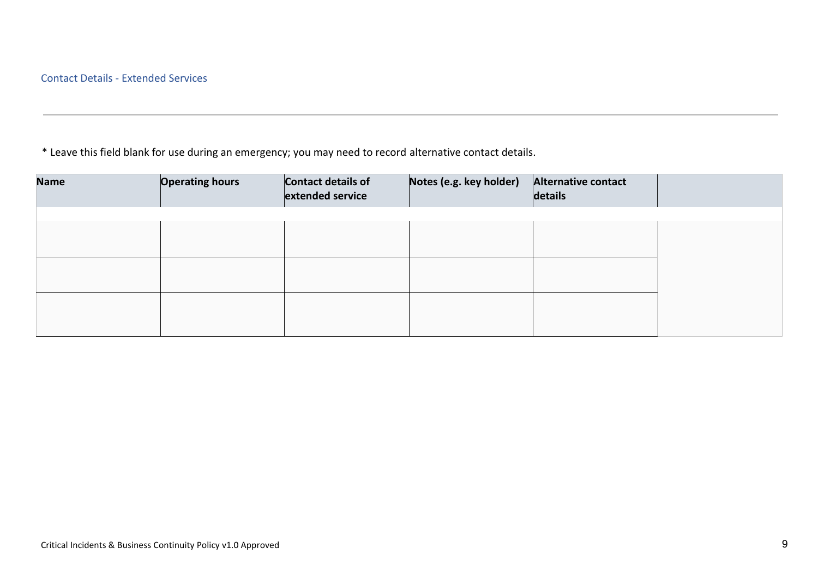| <b>Name</b> | <b>Operating hours</b> | Contact details of<br>extended service | Notes (e.g. key holder) | Alternative contact<br>details |  |
|-------------|------------------------|----------------------------------------|-------------------------|--------------------------------|--|
|             |                        |                                        |                         |                                |  |
|             |                        |                                        |                         |                                |  |
|             |                        |                                        |                         |                                |  |
|             |                        |                                        |                         |                                |  |
|             |                        |                                        |                         |                                |  |
|             |                        |                                        |                         |                                |  |
|             |                        |                                        |                         |                                |  |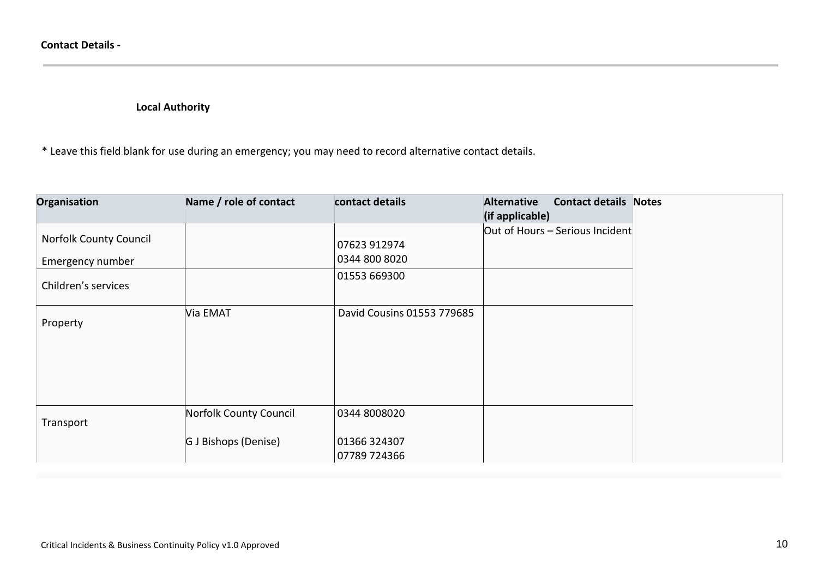**Local Authority**

| Organisation                  | Name / role of contact | contact details              | <b>Alternative</b><br><b>Contact details Notes</b><br>(if applicable) |  |
|-------------------------------|------------------------|------------------------------|-----------------------------------------------------------------------|--|
| <b>Norfolk County Council</b> |                        |                              | Out of Hours $-$ Serious Incident                                     |  |
|                               |                        | 07623 912974                 |                                                                       |  |
| Emergency number              |                        | 0344 800 8020                |                                                                       |  |
| Children's services           |                        | 01553 669300                 |                                                                       |  |
| Property                      | Via EMAT               | David Cousins 01553 779685   |                                                                       |  |
|                               |                        |                              |                                                                       |  |
|                               |                        |                              |                                                                       |  |
| Transport                     | Norfolk County Council | 0344 8008020                 |                                                                       |  |
|                               | G J Bishops (Denise)   | 01366 324307<br>07789 724366 |                                                                       |  |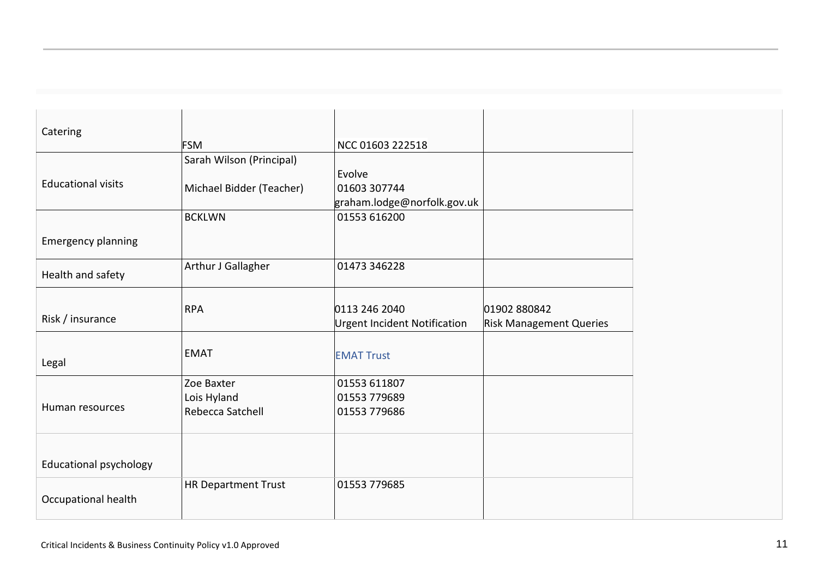| Catering                      | <b>FSM</b>                 | NCC 01603 222518             |                                |
|-------------------------------|----------------------------|------------------------------|--------------------------------|
|                               | Sarah Wilson (Principal)   |                              |                                |
| <b>Educational visits</b>     | Michael Bidder (Teacher)   | Evolve<br>01603 307744       |                                |
|                               |                            | graham.lodge@norfolk.gov.uk  |                                |
|                               | <b>BCKLWN</b>              | 01553 616200                 |                                |
| <b>Emergency planning</b>     |                            |                              |                                |
| Health and safety             | Arthur J Gallagher         | 01473 346228                 |                                |
|                               |                            |                              |                                |
| Risk / insurance              | <b>RPA</b>                 | 0113 246 2040                | 01902 880842                   |
|                               |                            | Urgent Incident Notification | <b>Risk Management Queries</b> |
| Legal                         | <b>EMAT</b>                | <b>EMAT Trust</b>            |                                |
|                               | Zoe Baxter                 | 01553 611807                 |                                |
|                               | Lois Hyland                | 01553 779689                 |                                |
| Human resources               | Rebecca Satchell           | 01553 779686                 |                                |
|                               |                            |                              |                                |
| <b>Educational psychology</b> |                            |                              |                                |
| Occupational health           | <b>HR Department Trust</b> | 01553 779685                 |                                |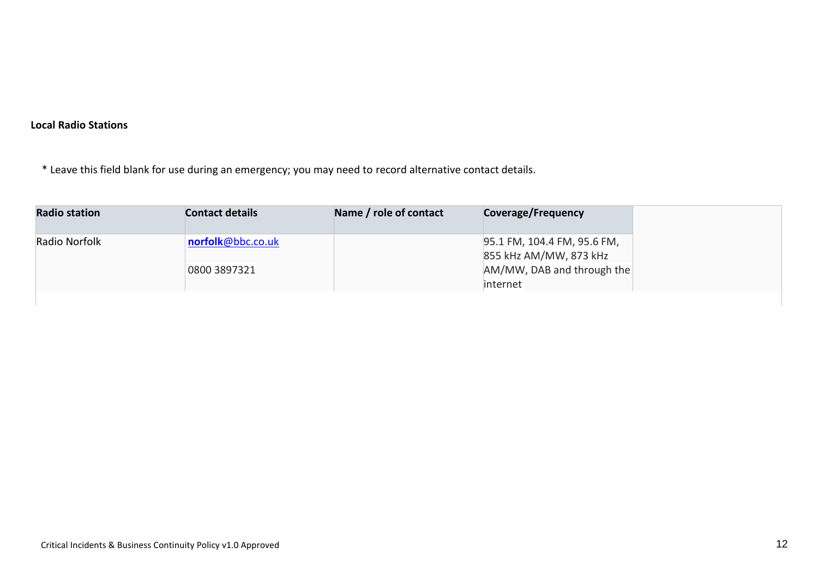# **Local Radio Stations**

| <b>Radio station</b> | <b>Contact details</b> | Name / role of contact | Coverage/Frequency                                    |
|----------------------|------------------------|------------------------|-------------------------------------------------------|
| Radio Norfolk        | norfolk@bbc.co.uk      |                        | 95.1 FM, 104.4 FM, 95.6 FM,<br>855 kHz AM/MW, 873 kHz |
|                      | 0800 3897321           |                        | $AM/MW$ , DAB and through the                         |
|                      |                        |                        | linternet                                             |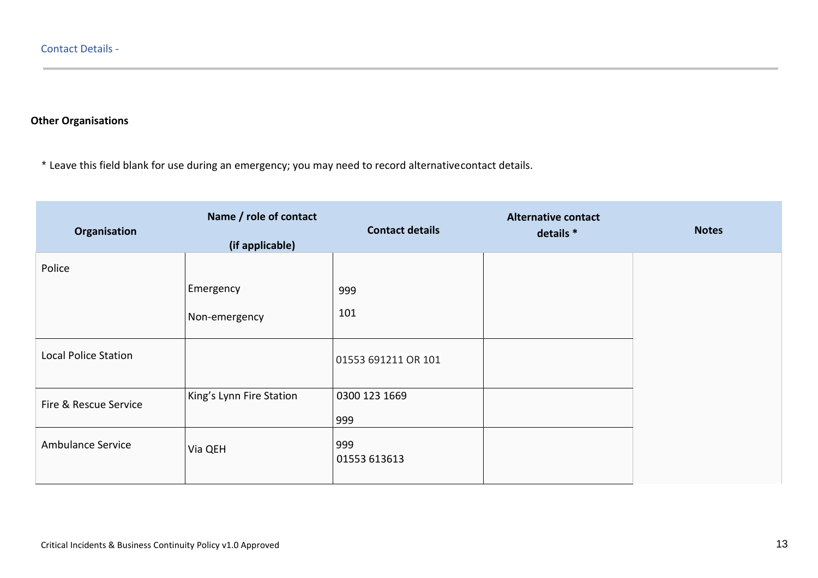## **Other Organisations**

| Organisation                | Name / role of contact<br>(if applicable) | <b>Contact details</b> | <b>Alternative contact</b><br>details * | <b>Notes</b> |
|-----------------------------|-------------------------------------------|------------------------|-----------------------------------------|--------------|
| Police                      |                                           |                        |                                         |              |
|                             | Emergency                                 | 999                    |                                         |              |
|                             | Non-emergency                             | 101                    |                                         |              |
| <b>Local Police Station</b> |                                           | 01553 691211 OR 101    |                                         |              |
| Fire & Rescue Service       | King's Lynn Fire Station                  | 0300 123 1669<br>999   |                                         |              |
| Ambulance Service           | Via QEH                                   | 999<br>01553 613613    |                                         |              |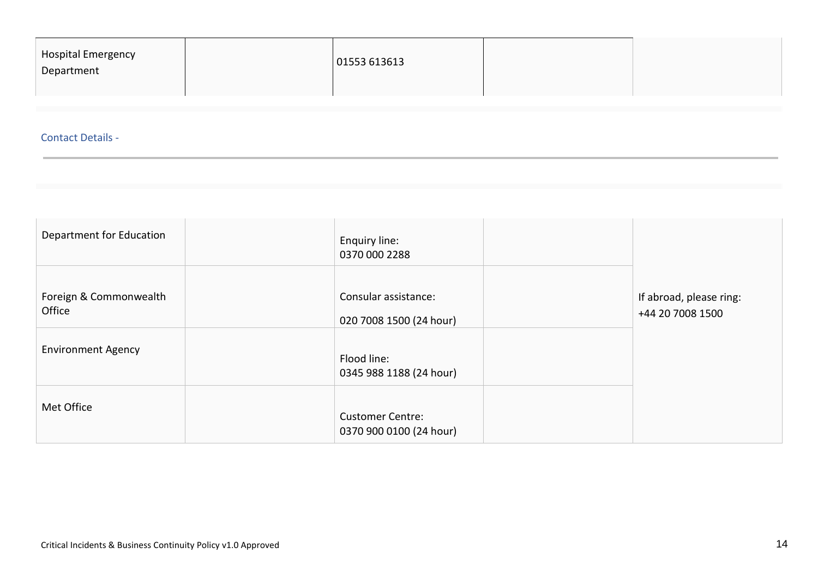| 01553613613<br>Department |  | Hospital Emergency |  |  |  |
|---------------------------|--|--------------------|--|--|--|
|---------------------------|--|--------------------|--|--|--|

## Contact Details -

| Department for Education         | Enquiry line:<br>0370 000 2288                     |                                             |
|----------------------------------|----------------------------------------------------|---------------------------------------------|
| Foreign & Commonwealth<br>Office | Consular assistance:<br>020 7008 1500 (24 hour)    | If abroad, please ring:<br>+44 20 7008 1500 |
| <b>Environment Agency</b>        | Flood line:<br>0345 988 1188 (24 hour)             |                                             |
| Met Office                       | <b>Customer Centre:</b><br>0370 900 0100 (24 hour) |                                             |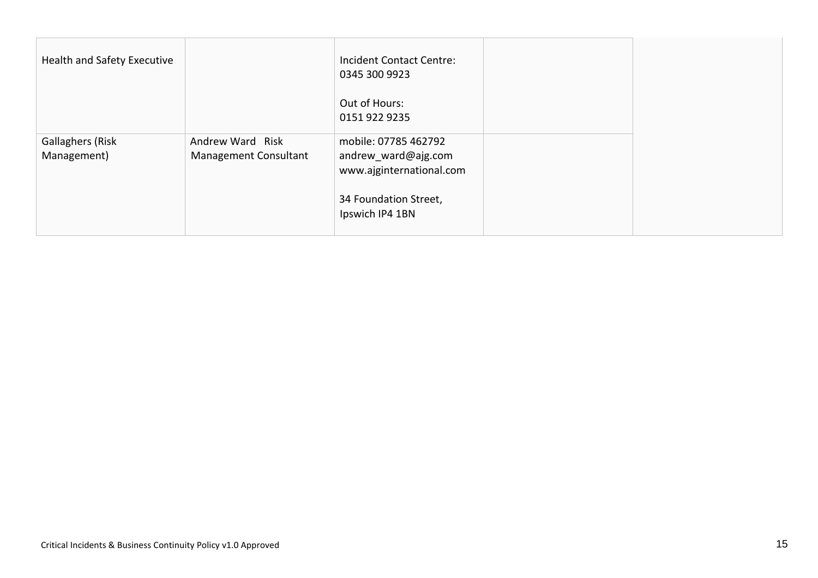| Health and Safety Executive     |                                           | <b>Incident Contact Centre:</b><br>0345 300 9923                        |  |
|---------------------------------|-------------------------------------------|-------------------------------------------------------------------------|--|
|                                 |                                           | Out of Hours:<br>0151 922 9235                                          |  |
| Gallaghers (Risk<br>Management) | Andrew Ward Risk<br>Management Consultant | mobile: 07785 462792<br>andrew_ward@ajg.com<br>www.ajginternational.com |  |
|                                 |                                           | 34 Foundation Street,<br>Ipswich IP4 1BN                                |  |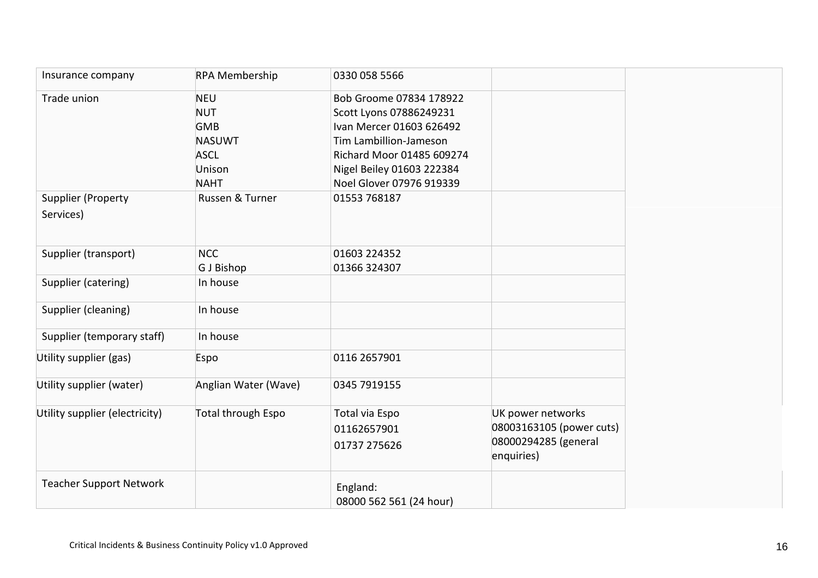| Insurance company               | <b>RPA Membership</b> | 0330 058 5566                       |                                    |
|---------------------------------|-----------------------|-------------------------------------|------------------------------------|
| Trade union                     | <b>NEU</b>            | Bob Groome 07834 178922             |                                    |
|                                 | <b>NUT</b>            | Scott Lyons 07886249231             |                                    |
|                                 | <b>GMB</b>            | Ivan Mercer 01603 626492            |                                    |
|                                 | <b>NASUWT</b>         | Tim Lambillion-Jameson              |                                    |
|                                 | <b>ASCL</b>           | Richard Moor 01485 609274           |                                    |
|                                 | Unison                | Nigel Beiley 01603 222384           |                                    |
|                                 | <b>NAHT</b>           | Noel Glover 07976 919339            |                                    |
| Supplier (Property<br>Services) | Russen & Turner       | 01553 768187                        |                                    |
| Supplier (transport)            | <b>NCC</b>            | 01603 224352                        |                                    |
|                                 | G J Bishop            | 01366 324307                        |                                    |
| Supplier (catering)             | In house              |                                     |                                    |
| Supplier (cleaning)             | In house              |                                     |                                    |
| Supplier (temporary staff)      | In house              |                                     |                                    |
| Utility supplier (gas)          | Espo                  | 0116 2657901                        |                                    |
| Utility supplier (water)        | Anglian Water (Wave)  | 0345 7919155                        |                                    |
| Utility supplier (electricity)  | Total through Espo    | Total via Espo                      | UK power networks                  |
|                                 |                       | 01162657901                         | 08003163105 (power cuts)           |
|                                 |                       | 01737 275626                        | 08000294285 (general<br>enquiries) |
| <b>Teacher Support Network</b>  |                       | England:<br>08000 562 561 (24 hour) |                                    |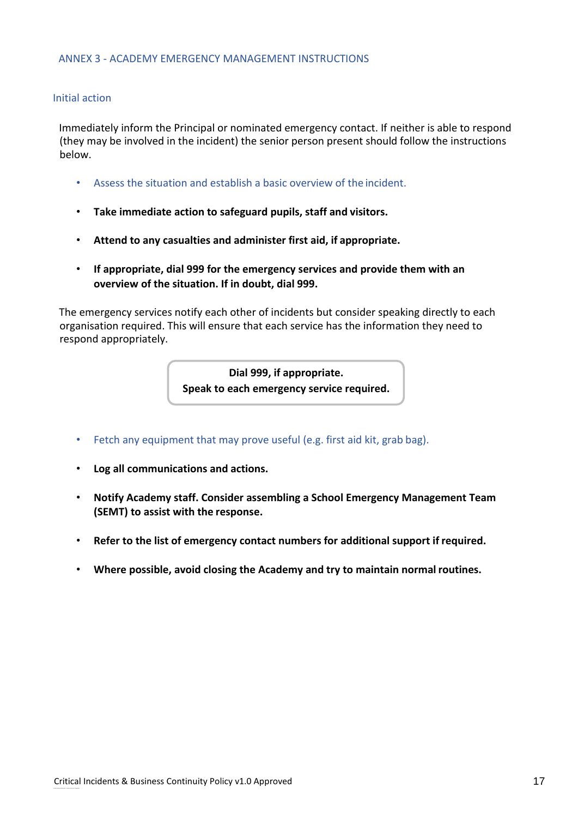#### Initial action

Immediately inform the Principal or nominated emergency contact. If neither is able to respond (they may be involved in the incident) the senior person present should follow the instructions below.

- Assess the situation and establish a basic overview of the incident.
- **Take immediate action to safeguard pupils, staff and visitors.**
- **Attend to any casualties and administer first aid, if appropriate.**
- **If appropriate, dial 999 for the emergency services and provide them with an overview of the situation. If in doubt, dial 999.**

The emergency services notify each other of incidents but consider speaking directly to each organisation required. This will ensure that each service has the information they need to respond appropriately.

> **Dial 999, if appropriate. Speak to each emergency service required.**

- Fetch any equipment that may prove useful (e.g. first aid kit, grab bag).
- **Log all communications and actions.**
- **Notify Academy staff. Consider assembling a School Emergency Management Team (SEMT) to assist with the response.**
- **Refer to the list of emergency contact numbers for additional support if required.**
- **Where possible, avoid closing the Academy and try to maintain normal routines.**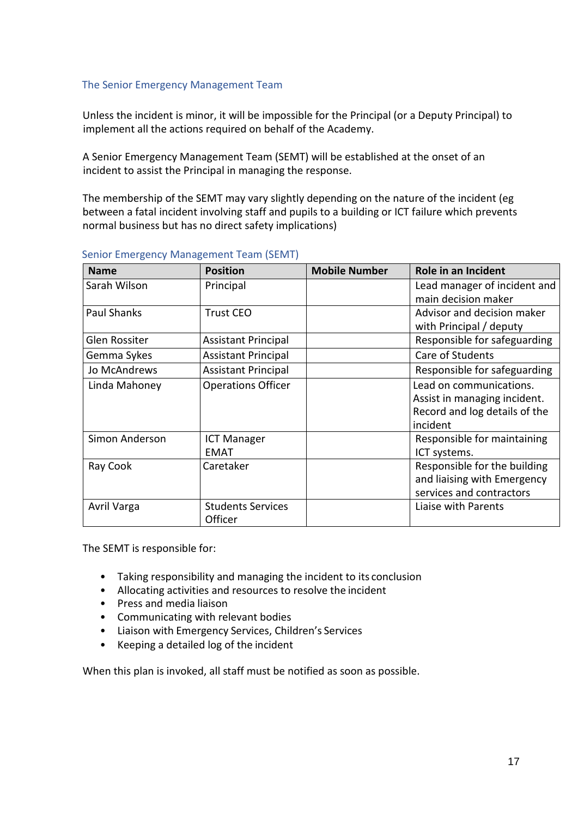## The Senior Emergency Management Team

Unless the incident is minor, it will be impossible for the Principal (or a Deputy Principal) to implement all the actions required on behalf of the Academy.

A Senior Emergency Management Team (SEMT) will be established at the onset of an incident to assist the Principal in managing the response.

The membership of the SEMT may vary slightly depending on the nature of the incident (eg between a fatal incident involving staff and pupils to a building or ICT failure which prevents normal business but has no direct safety implications)

| <b>Name</b>        | <b>Position</b>            | <b>Mobile Number</b> | Role in an Incident           |
|--------------------|----------------------------|----------------------|-------------------------------|
| Sarah Wilson       | Principal                  |                      | Lead manager of incident and  |
|                    |                            |                      | main decision maker           |
| <b>Paul Shanks</b> | <b>Trust CEO</b>           |                      | Advisor and decision maker    |
|                    |                            |                      | with Principal / deputy       |
| Glen Rossiter      | <b>Assistant Principal</b> |                      | Responsible for safeguarding  |
| Gemma Sykes        | <b>Assistant Principal</b> |                      | Care of Students              |
| Jo McAndrews       | <b>Assistant Principal</b> |                      | Responsible for safeguarding  |
| Linda Mahoney      | <b>Operations Officer</b>  |                      | Lead on communications.       |
|                    |                            |                      | Assist in managing incident.  |
|                    |                            |                      | Record and log details of the |
|                    |                            |                      | incident                      |
| Simon Anderson     | <b>ICT Manager</b>         |                      | Responsible for maintaining   |
|                    | <b>EMAT</b>                |                      | ICT systems.                  |
| Ray Cook           | Caretaker                  |                      | Responsible for the building  |
|                    |                            |                      | and liaising with Emergency   |
|                    |                            |                      | services and contractors      |
| Avril Varga        | <b>Students Services</b>   |                      | Liaise with Parents           |
|                    | Officer                    |                      |                               |

#### Senior Emergency Management Team (SEMT)

The SEMT is responsible for:

- Taking responsibility and managing the incident to its conclusion
- Allocating activities and resources to resolve the incident
- Press and media liaison
- Communicating with relevant bodies
- Liaison with Emergency Services, Children's Services
- Keeping a detailed log of the incident

When this plan is invoked, all staff must be notified as soon as possible.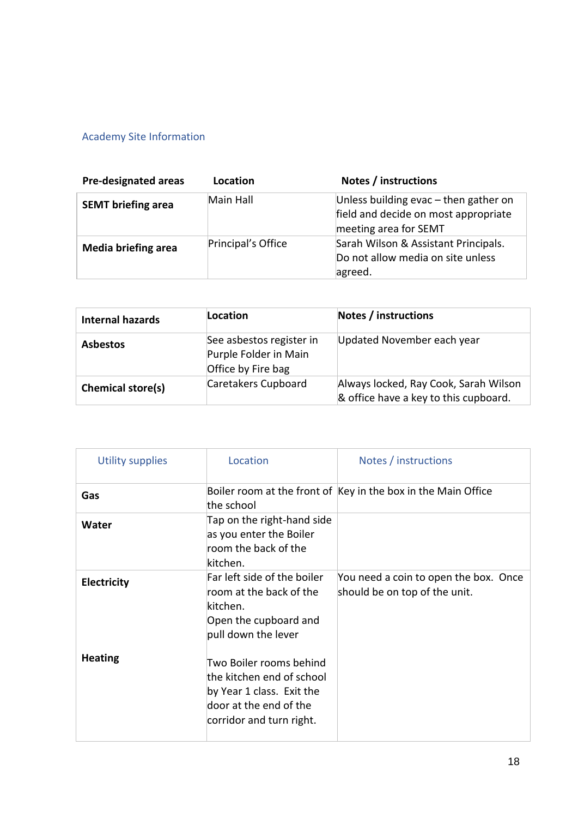# Academy Site Information

| <b>Pre-designated areas</b> | Location           | Notes / instructions                                                                                     |
|-----------------------------|--------------------|----------------------------------------------------------------------------------------------------------|
| <b>SEMT briefing area</b>   | Main Hall          | Unless building evac $-$ then gather on<br>field and decide on most appropriate<br>meeting area for SEMT |
| <b>Media briefing area</b>  | Principal's Office | Sarah Wilson & Assistant Principals.<br>Do not allow media on site unless<br>agreed.                     |

| <b>Internal hazards</b> | Location                                                                | <b>Notes / instructions</b>                                                    |
|-------------------------|-------------------------------------------------------------------------|--------------------------------------------------------------------------------|
| <b>Asbestos</b>         | See asbestos register in<br>Purple Folder in Main<br>Office by Fire bag | Updated November each year                                                     |
| Chemical store(s)       | Caretakers Cupboard                                                     | Always locked, Ray Cook, Sarah Wilson<br>& office have a key to this cupboard. |

| <b>Utility supplies</b> | Location                                                                                                                                | Notes / instructions                                                   |
|-------------------------|-----------------------------------------------------------------------------------------------------------------------------------------|------------------------------------------------------------------------|
| Gas                     | the school                                                                                                                              | Boiler room at the front of Key in the box in the Main Office          |
| Water                   | Tap on the right-hand side<br>as you enter the Boiler<br>room the back of the<br>kitchen.                                               |                                                                        |
| <b>Electricity</b>      | Far left side of the boiler<br>room at the back of the<br>kitchen.<br>Open the cupboard and<br>pull down the lever                      | You need a coin to open the box. Once<br>should be on top of the unit. |
| <b>Heating</b>          | Two Boiler rooms behind<br>the kitchen end of school<br>by Year 1 class. Exit the<br>door at the end of the<br>corridor and turn right. |                                                                        |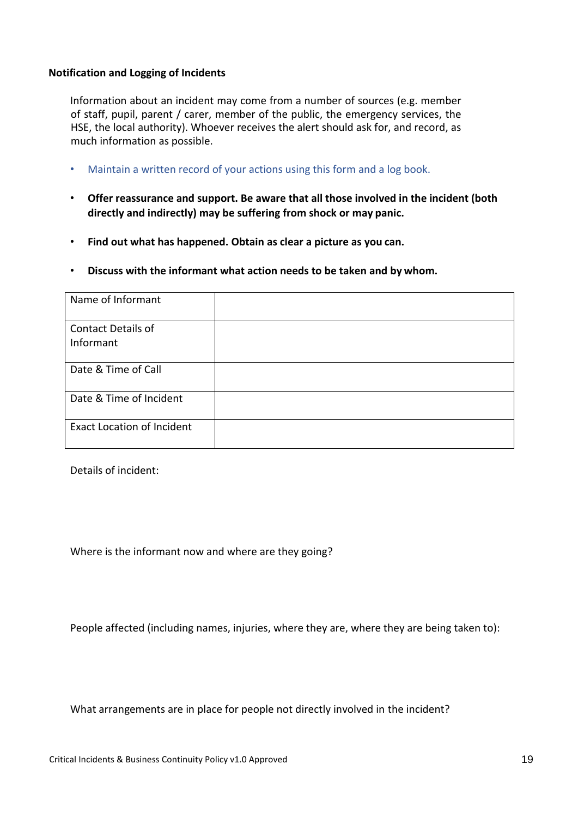#### **Notification and Logging of Incidents**

Information about an incident may come from a number of sources (e.g. member of staff, pupil, parent / carer, member of the public, the emergency services, the HSE, the local authority). Whoever receives the alert should ask for, and record, as much information as possible.

- Maintain a written record of your actions using this form and a log book.
- **Offer reassurance and support. Be aware that all those involved in the incident (both directly and indirectly) may be suffering from shock or may panic.**
- **Find out what has happened. Obtain as clear a picture as you can.**
- **Discuss with the informant what action needs to be taken and by whom.**

| Name of Informant                      |  |
|----------------------------------------|--|
| <b>Contact Details of</b><br>Informant |  |
|                                        |  |
| Date & Time of Call                    |  |
| Date & Time of Incident                |  |
| <b>Exact Location of Incident</b>      |  |

Details of incident:

Where is the informant now and where are they going?

People affected (including names, injuries, where they are, where they are being taken to):

What arrangements are in place for people not directly involved in the incident?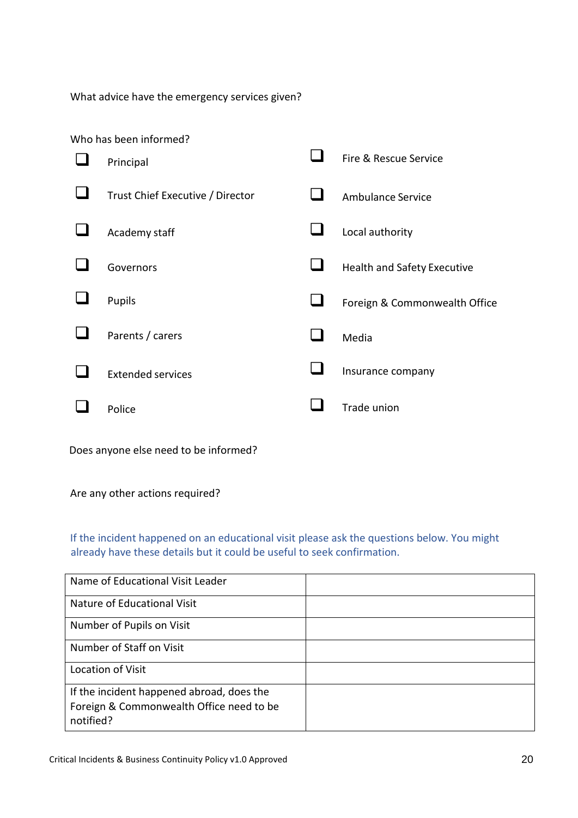What advice have the emergency services given?

| Who has been informed?           |                               |
|----------------------------------|-------------------------------|
| Principal                        | Fire & Rescue Service         |
| Trust Chief Executive / Director | <b>Ambulance Service</b>      |
| Academy staff                    | Local authority               |
| Governors                        | Health and Safety Executive   |
| Pupils                           | Foreign & Commonwealth Office |
| Parents / carers                 | Media                         |
| <b>Extended services</b>         | Insurance company             |
| Police                           | Trade union                   |

Does anyone else need to be informed?

Are any other actions required?

If the incident happened on an educational visit please ask the questions below. You might already have these details but it could be useful to seek confirmation.

| Name of Educational Visit Leader                      |  |
|-------------------------------------------------------|--|
| Nature of Educational Visit                           |  |
| Number of Pupils on Visit                             |  |
| Number of Staff on Visit                              |  |
| Location of Visit                                     |  |
| If the incident happened abroad, does the             |  |
| Foreign & Commonwealth Office need to be<br>notified? |  |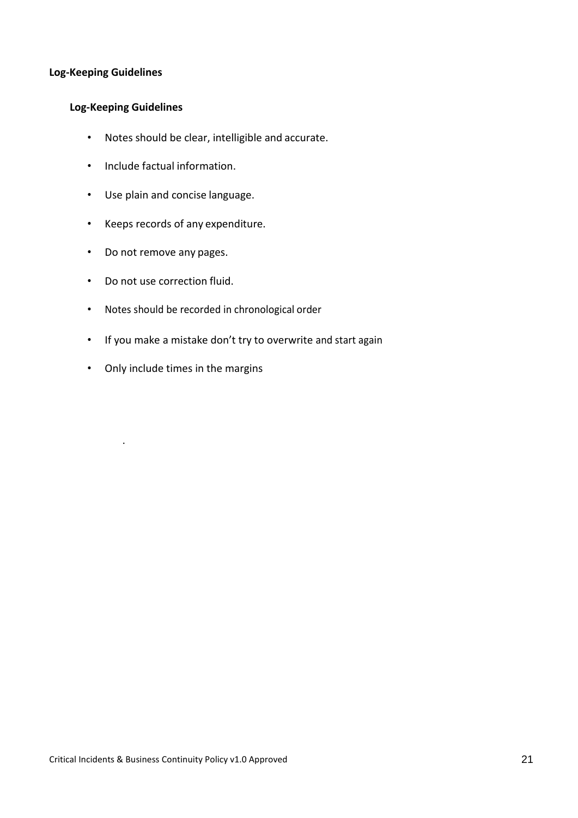## **Log-Keeping Guidelines**

## **Log-Keeping Guidelines**

- Notes should be clear, intelligible and accurate.
- Include factual information.
- Use plain and concise language.
- Keeps records of any expenditure.
- Do not remove any pages.
- Do not use correction fluid.
- Notes should be recorded in chronological order
- If you make a mistake don't try to overwrite and start again
- Only include times in the margins

.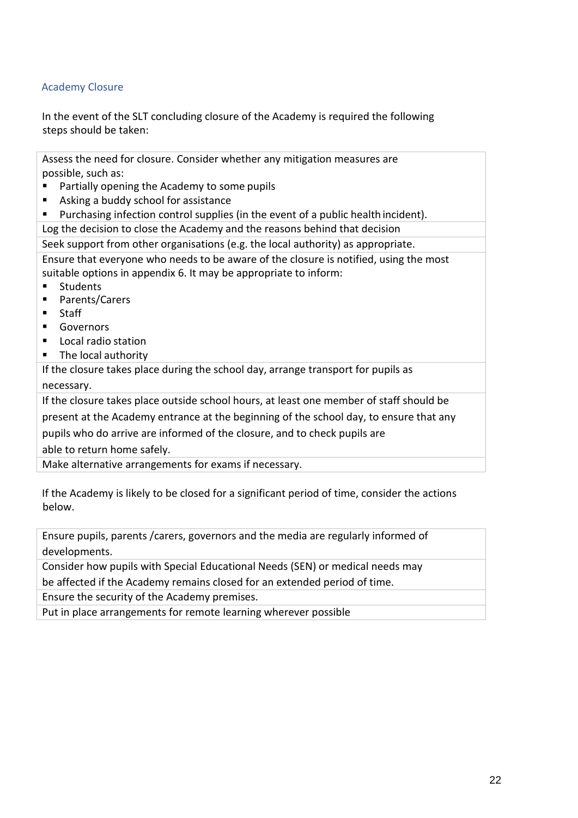# Academy Closure

In the event of the SLT concluding closure of the Academy is required the following steps should be taken:

Assess the need for closure. Consider whether any mitigation measures are possible, such as:

- Partially opening the Academy to some pupils
- Asking a buddy school for assistance
- Purchasing infection control supplies (in the event of a public health incident).

Log the decision to close the Academy and the reasons behind that decision

Seek support from other organisations (e.g. the local authority) as appropriate.

Ensure that everyone who needs to be aware of the closure is notified, using the most suitable options in appendix 6. It may be appropriate to inform:

- Students
- Parents/Carers
- Staff
- Governors
- Local radio station
- The local authority

If the closure takes place during the school day, arrange transport for pupils as necessary.

If the closure takes place outside school hours, at least one member of staff should be

present at the Academy entrance at the beginning of the school day, to ensure that any

pupils who do arrive are informed of the closure, and to check pupils are

able to return home safely.

Make alternative arrangements for exams if necessary.

If the Academy is likely to be closed for a significant period of time, consider the actions below.

Ensure pupils, parents /carers, governors and the media are regularly informed of developments.

Consider how pupils with Special Educational Needs (SEN) or medical needs may be affected if the Academy remains closed for an extended period of time.

Ensure the security of the Academy premises.

Put in place arrangements for remote learning wherever possible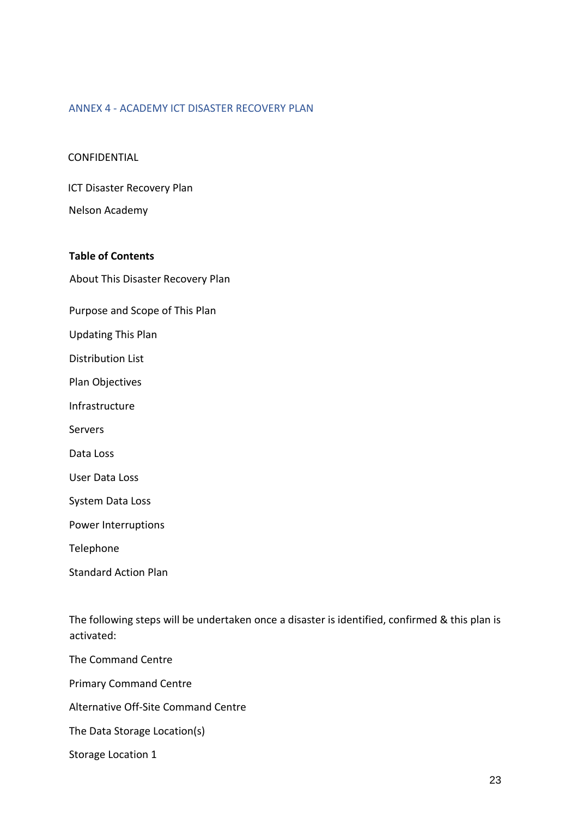#### ANNEX 4 - ACADEMY ICT DISASTER RECOVERY PLAN

#### CONFIDENTIAL

ICT Disaster Recovery Plan

Nelson Academy

#### **Table of Contents**

About This Disaster Recovery Plan

Purpose and Scope of This Plan

Updating This Plan

Distribution List

Plan Objectives

Infrastructure

Servers

Data Loss

User Data Loss

System Data Loss

Power Interruptions

Telephone

Standard Action Plan

The following steps will be undertaken once a disaster is identified, confirmed & this plan is activated:

The Command Centre

Primary Command Centre

Alternative Off-Site Command Centre

The Data Storage Location(s)

Storage Location 1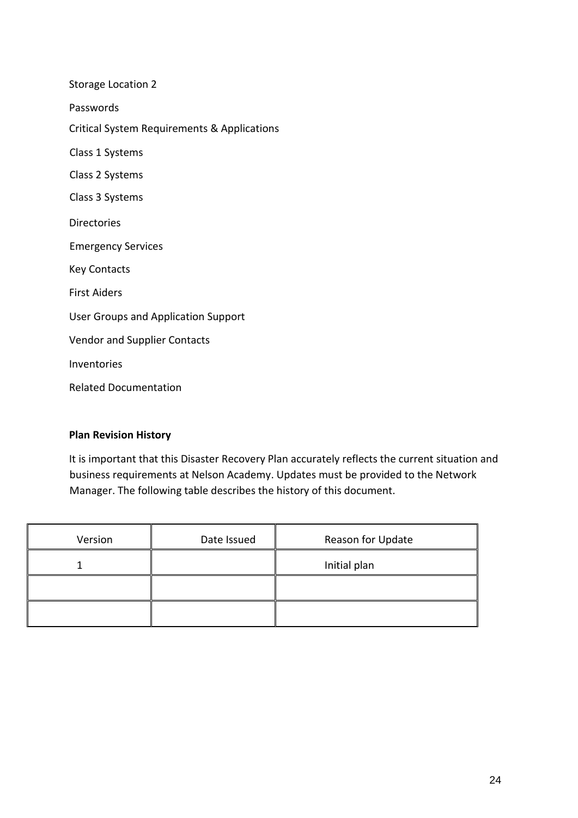| <b>Storage Location 2</b>                   |
|---------------------------------------------|
| Passwords                                   |
| Critical System Requirements & Applications |
| Class 1 Systems                             |
| Class 2 Systems                             |
| Class 3 Systems                             |
| <b>Directories</b>                          |
| <b>Emergency Services</b>                   |
| <b>Key Contacts</b>                         |
| <b>First Aiders</b>                         |
| <b>User Groups and Application Support</b>  |
| <b>Vendor and Supplier Contacts</b>         |
| Inventories                                 |
| <b>Related Documentation</b>                |
|                                             |

# **Plan Revision History**

It is important that this Disaster Recovery Plan accurately reflects the current situation and business requirements at Nelson Academy. Updates must be provided to the Network Manager. The following table describes the history of this document.

| Version | Date Issued | Reason for Update |
|---------|-------------|-------------------|
|         |             | Initial plan      |
|         |             |                   |
|         |             |                   |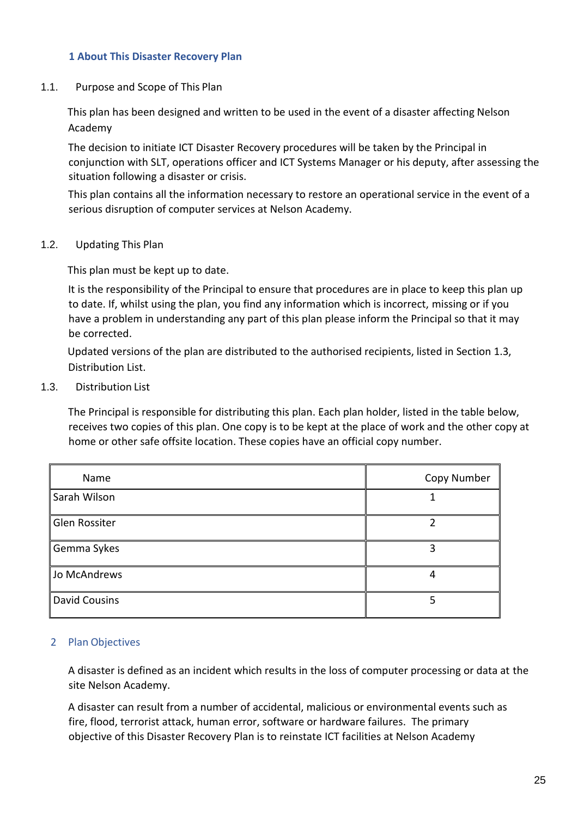## **1 About This Disaster Recovery Plan**

1.1. Purpose and Scope of This Plan

This plan has been designed and written to be used in the event of a disaster affecting Nelson Academy

The decision to initiate ICT Disaster Recovery procedures will be taken by the Principal in conjunction with SLT, operations officer and ICT Systems Manager or his deputy, after assessing the situation following a disaster or crisis.

This plan contains all the information necessary to restore an operational service in the event of a serious disruption of computer services at Nelson Academy.

1.2. Updating This Plan

This plan must be kept up to date.

It is the responsibility of the Principal to ensure that procedures are in place to keep this plan up to date. If, whilst using the plan, you find any information which is incorrect, missing or if you have a problem in understanding any part of this plan please inform the Principal so that it may be corrected.

Updated versions of the plan are distributed to the authorised recipients, listed in Section 1.3, Distribution List.

1.3. Distribution List

The Principal is responsible for distributing this plan. Each plan holder, listed in the table below, receives two copies of this plan. One copy is to be kept at the place of work and the other copy at home or other safe offsite location. These copies have an official copy number.

| Name                 | Copy Number |
|----------------------|-------------|
| Sarah Wilson         |             |
| Glen Rossiter        |             |
| Gemma Sykes          |             |
| Jo McAndrews         |             |
| <b>David Cousins</b> |             |

# 2 Plan Objectives

A disaster is defined as an incident which results in the loss of computer processing or data at the site Nelson Academy.

A disaster can result from a number of accidental, malicious or environmental events such as fire, flood, terrorist attack, human error, software or hardware failures. The primary objective of this Disaster Recovery Plan is to reinstate ICT facilities at Nelson Academy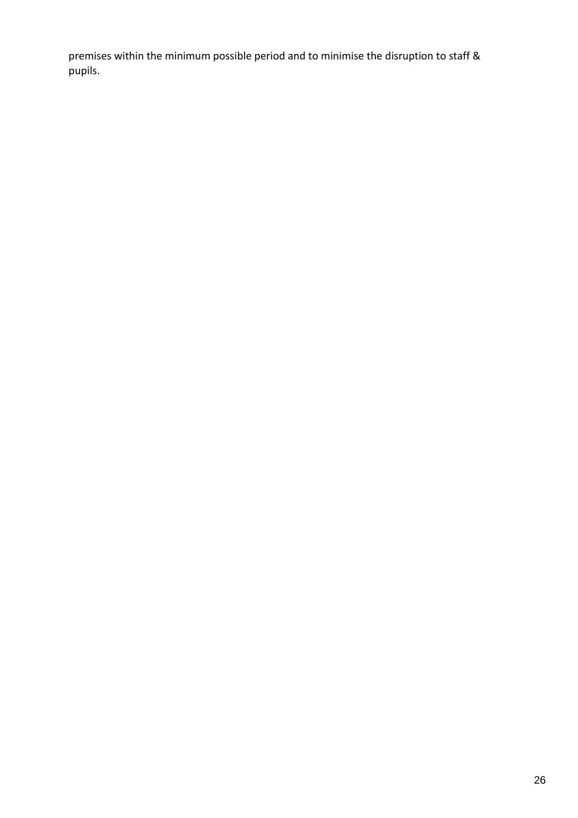premises within the minimum possible period and to minimise the disruption to staff & pupils.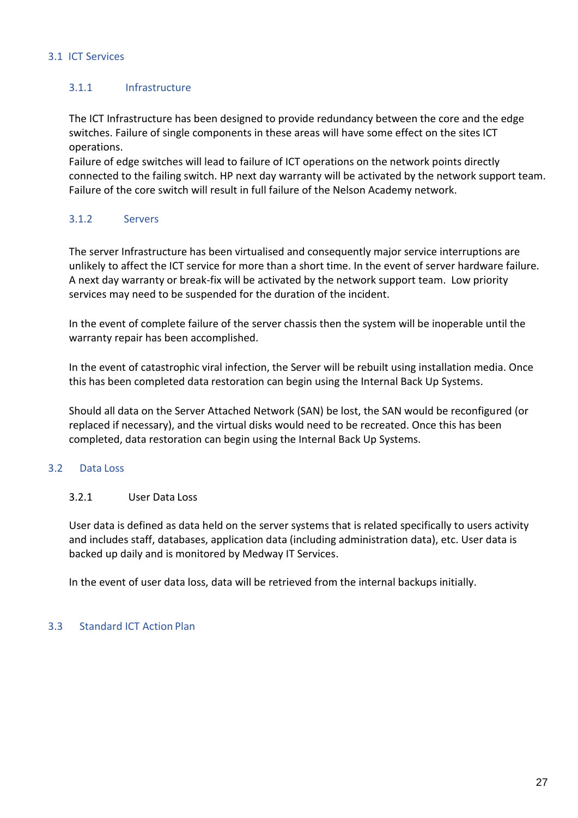## 3.1 ICT Services

# 3.1.1 Infrastructure

The ICT Infrastructure has been designed to provide redundancy between the core and the edge switches. Failure of single components in these areas will have some effect on the sites ICT operations.

Failure of edge switches will lead to failure of ICT operations on the network points directly connected to the failing switch. HP next day warranty will be activated by the network support team. Failure of the core switch will result in full failure of the Nelson Academy network.

# 3.1.2 Servers

The server Infrastructure has been virtualised and consequently major service interruptions are unlikely to affect the ICT service for more than a short time. In the event of server hardware failure. A next day warranty or break-fix will be activated by the network support team. Low priority services may need to be suspended for the duration of the incident.

In the event of complete failure of the server chassis then the system will be inoperable until the warranty repair has been accomplished.

In the event of catastrophic viral infection, the Server will be rebuilt using installation media. Once this has been completed data restoration can begin using the Internal Back Up Systems.

Should all data on the Server Attached Network (SAN) be lost, the SAN would be reconfigured (or replaced if necessary), and the virtual disks would need to be recreated. Once this has been completed, data restoration can begin using the Internal Back Up Systems.

# 3.2 Data Loss

# 3.2.1 User Data Loss

User data is defined as data held on the server systems that is related specifically to users activity and includes staff, databases, application data (including administration data), etc. User data is backed up daily and is monitored by Medway IT Services.

In the event of user data loss, data will be retrieved from the internal backups initially.

# 3.3 Standard ICT Action Plan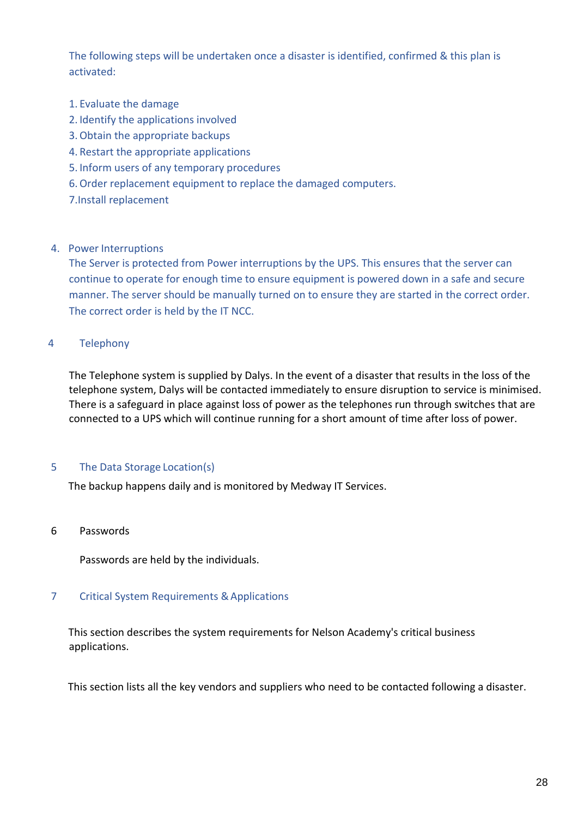The following steps will be undertaken once a disaster is identified, confirmed & this plan is activated:

- 1. Evaluate the damage
- 2. Identify the applications involved
- 3.Obtain the appropriate backups
- 4. Restart the appropriate applications
- 5. Inform users of any temporary procedures
- 6.Order replacement equipment to replace the damaged computers.
- 7.Install replacement

#### 4. Power Interruptions

The Server is protected from Power interruptions by the UPS. This ensures that the server can continue to operate for enough time to ensure equipment is powered down in a safe and secure manner. The server should be manually turned on to ensure they are started in the correct order. The correct order is held by the IT NCC.

# 4 Telephony

The Telephone system is supplied by Dalys. In the event of a disaster that results in the loss of the telephone system, Dalys will be contacted immediately to ensure disruption to service is minimised. There is a safeguard in place against loss of power as the telephones run through switches that are connected to a UPS which will continue running for a short amount of time after loss of power.

#### 5 The Data Storage Location(s)

The backup happens daily and is monitored by Medway IT Services.

#### 6 Passwords

Passwords are held by the individuals.

#### 7 Critical System Requirements & Applications

This section describes the system requirements for Nelson Academy's critical business applications.

This section lists all the key vendors and suppliers who need to be contacted following a disaster.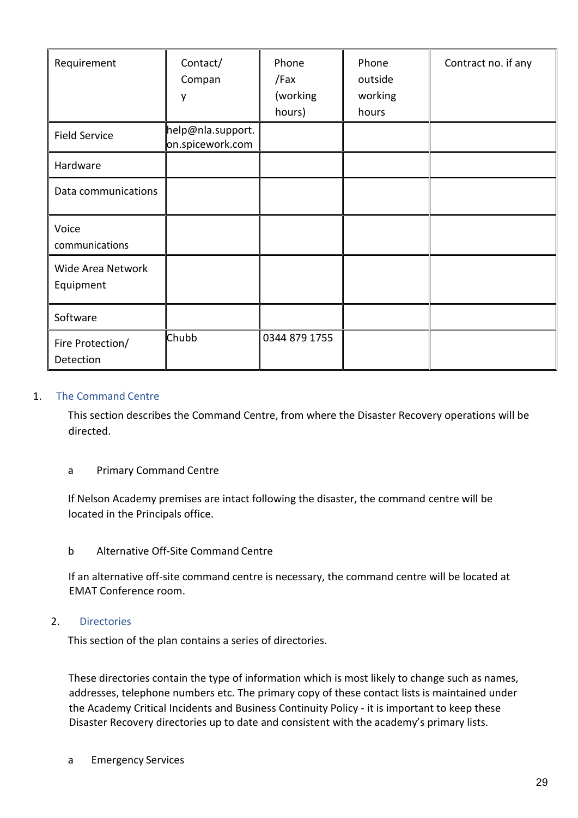| Requirement                    | Contact/<br>Compan<br>y               | Phone<br>/Fax<br>(working<br>hours) | Phone<br>outside<br>working<br>hours | Contract no. if any |
|--------------------------------|---------------------------------------|-------------------------------------|--------------------------------------|---------------------|
| <b>Field Service</b>           | help@nla.support.<br>on.spicework.com |                                     |                                      |                     |
| Hardware                       |                                       |                                     |                                      |                     |
| Data communications            |                                       |                                     |                                      |                     |
| Voice<br>communications        |                                       |                                     |                                      |                     |
| Wide Area Network<br>Equipment |                                       |                                     |                                      |                     |
| Software                       |                                       |                                     |                                      |                     |
| Fire Protection/<br>Detection  | Chubb                                 | 0344 879 1755                       |                                      |                     |

## 1. The Command Centre

This section describes the Command Centre, from where the Disaster Recovery operations will be directed.

#### a Primary Command Centre

If Nelson Academy premises are intact following the disaster, the command centre will be located in the Principals office.

#### b Alternative Off-Site Command Centre

If an alternative off-site command centre is necessary, the command centre will be located at EMAT Conference room.

## 2. Directories

This section of the plan contains a series of directories.

These directories contain the type of information which is most likely to change such as names, addresses, telephone numbers etc. The primary copy of these contact lists is maintained under the Academy Critical Incidents and Business Continuity Policy - it is important to keep these Disaster Recovery directories up to date and consistent with the academy's primary lists.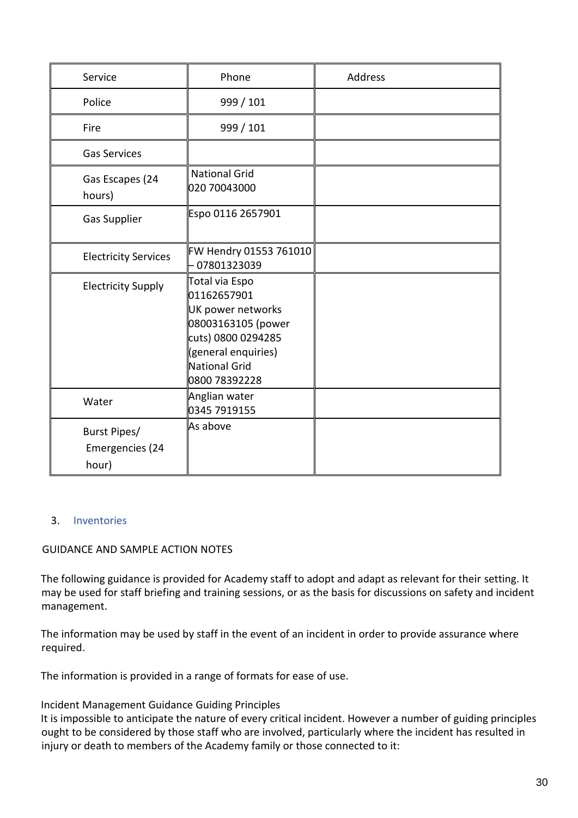| Service                                  | Phone                                                                                                                                                          | Address |
|------------------------------------------|----------------------------------------------------------------------------------------------------------------------------------------------------------------|---------|
| Police                                   | 999 / 101                                                                                                                                                      |         |
| Fire                                     | 999 / 101                                                                                                                                                      |         |
| <b>Gas Services</b>                      |                                                                                                                                                                |         |
| Gas Escapes (24<br>hours)                | <b>National Grid</b><br>020 70043000                                                                                                                           |         |
| <b>Gas Supplier</b>                      | Espo 0116 2657901                                                                                                                                              |         |
| <b>Electricity Services</b>              | FW Hendry 01553 761010<br>07801323039                                                                                                                          |         |
| <b>Electricity Supply</b>                | Total via Espo<br>01162657901<br>UK power networks<br>08003163105 (power<br>cuts) 0800 0294285<br>(general enquiries)<br><b>National Grid</b><br>0800 78392228 |         |
| Water                                    | Anglian water<br>0345 7919155                                                                                                                                  |         |
| Burst Pipes/<br>Emergencies (24<br>hour) | As above                                                                                                                                                       |         |

# 3. Inventories

### GUIDANCE AND SAMPLE ACTION NOTES

The following guidance is provided for Academy staff to adopt and adapt as relevant for their setting. It may be used for staff briefing and training sessions, or as the basis for discussions on safety and incident management.

The information may be used by staff in the event of an incident in order to provide assurance where required.

The information is provided in a range of formats for ease of use.

#### Incident Management Guidance Guiding Principles

It is impossible to anticipate the nature of every critical incident. However a number of guiding principles ought to be considered by those staff who are involved, particularly where the incident has resulted in injury or death to members of the Academy family or those connected to it: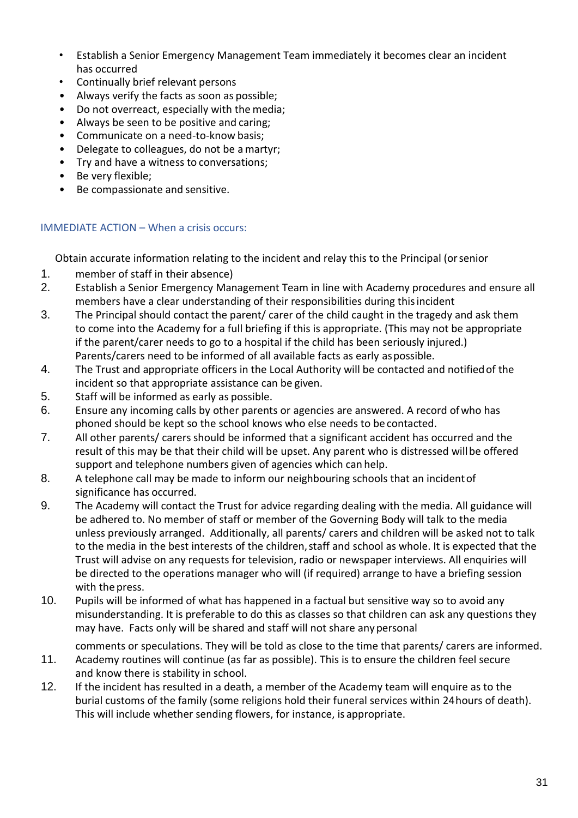- Establish a Senior Emergency Management Team immediately it becomes clear an incident has occurred
- Continually brief relevant persons
- Always verify the facts as soon as possible;
- Do not overreact, especially with the media;<br>• Always be seen to be positive and caring:
- Always be seen to be positive and caring;
- Communicate on a need-to-know basis;
- Delegate to colleagues, do not be a martyr;
- Try and have a witness to conversations;
- Be very flexible;
- Be compassionate and sensitive.

## IMMEDIATE ACTION – When a crisis occurs:

Obtain accurate information relating to the incident and relay this to the Principal (orsenior

- 1. member of staff in their absence)
- 2. Establish a Senior Emergency Management Team in line with Academy procedures and ensure all members have a clear understanding of their responsibilities during thisincident
- 3. The Principal should contact the parent/ carer of the child caught in the tragedy and ask them to come into the Academy for a full briefing if this is appropriate. (This may not be appropriate if the parent/carer needs to go to a hospital if the child has been seriously injured.) Parents/carers need to be informed of all available facts as early aspossible.
- 4. The Trust and appropriate officers in the Local Authority will be contacted and notifiedof the incident so that appropriate assistance can be given.
- 5. Staff will be informed as early as possible.
- 6. Ensure any incoming calls by other parents or agencies are answered. A record ofwho has phoned should be kept so the school knows who else needs to be contacted.
- 7. All other parents/ carers should be informed that a significant accident has occurred and the result of this may be that their child will be upset. Any parent who is distressed willbe offered support and telephone numbers given of agencies which can help.
- 8. A telephone call may be made to inform our neighbouring schools that an incidentof significance has occurred.
- 9. The Academy will contact the Trust for advice regarding dealing with the media. All guidance will be adhered to. No member of staff or member of the Governing Body will talk to the media unless previously arranged. Additionally, all parents/ carers and children will be asked not to talk to the media in the best interests of the children, staff and school as whole. It is expected that the Trust will advise on any requests for television, radio or newspaper interviews. All enquiries will be directed to the operations manager who will (if required) arrange to have a briefing session with the press.
- 10. Pupils will be informed of what has happened in a factual but sensitive way so to avoid any misunderstanding. It is preferable to do this as classes so that children can ask any questions they may have. Facts only will be shared and staff will not share anypersonal

comments or speculations. They will be told as close to the time that parents/ carers are informed.

- 11. Academy routines will continue (as far as possible). This is to ensure the children feel secure and know there is stability in school.
- 12. If the incident has resulted in a death, a member of the Academy team will enquire as to the burial customs of the family (some religions hold their funeral services within 24hours of death). This will include whether sending flowers, for instance, is appropriate.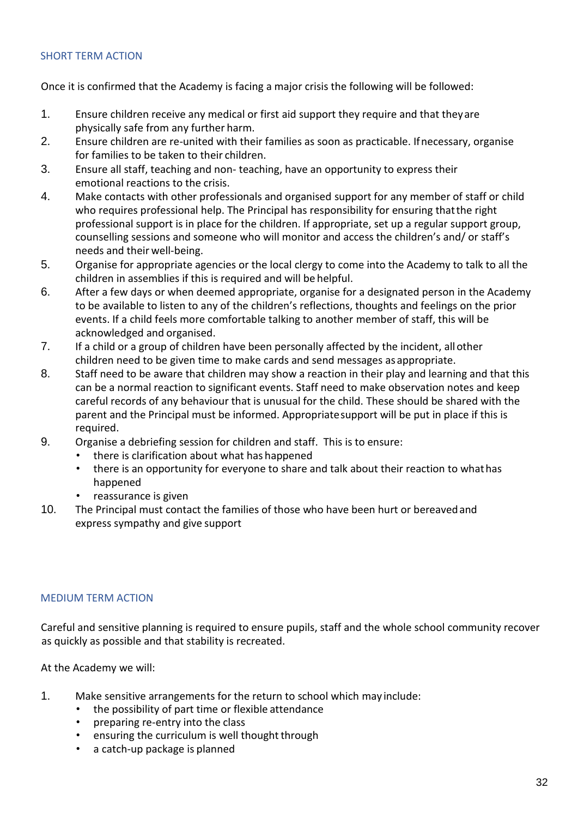## SHORT TERM ACTION

Once it is confirmed that the Academy is facing a major crisis the following will be followed:

- 1. Ensure children receive any medical or first aid support they require and that theyare physically safe from any further harm.
- 2. Ensure children are re-united with their families as soon as practicable. Ifnecessary, organise for families to be taken to their children.
- 3. Ensure all staff, teaching and non- teaching, have an opportunity to express their emotional reactions to the crisis.
- 4. Make contacts with other professionals and organised support for any member of staff or child who requires professional help. The Principal has responsibility for ensuring thatthe right professional support is in place for the children. If appropriate, set up a regular support group, counselling sessions and someone who will monitor and access the children's and/ or staff's needs and their well-being.
- 5. Organise for appropriate agencies or the local clergy to come into the Academy to talk to all the children in assemblies if this is required and will be helpful.
- 6. After a few days or when deemed appropriate, organise for a designated person in the Academy to be available to listen to any of the children's reflections, thoughts and feelings on the prior events. If a child feels more comfortable talking to another member of staff, this will be acknowledged and organised.
- 7. If a child or a group of children have been personally affected by the incident, allother children need to be given time to make cards and send messages as appropriate.
- 8. Staff need to be aware that children may show a reaction in their play and learning and that this can be a normal reaction to significant events. Staff need to make observation notes and keep careful records of any behaviour that is unusual for the child. These should be shared with the parent and the Principal must be informed. Appropriatesupport will be put in place if this is required.
- 9. Organise a debriefing session for children and staff. This is to ensure:
	- there is clarification about what has happened
	- there is an opportunity for everyone to share and talk about their reaction to whathas happened
	- reassurance is given
- 10. The Principal must contact the families of those who have been hurt or bereavedand express sympathy and give support

#### MEDIUM TERM ACTION

Careful and sensitive planning is required to ensure pupils, staff and the whole school community recover as quickly as possible and that stability is recreated.

At the Academy we will:

- 1. Make sensitive arrangements for the return to school which may include:
	- the possibility of part time or flexible attendance
	- preparing re-entry into the class
	- ensuring the curriculum is well thought through
	- a catch-up package is planned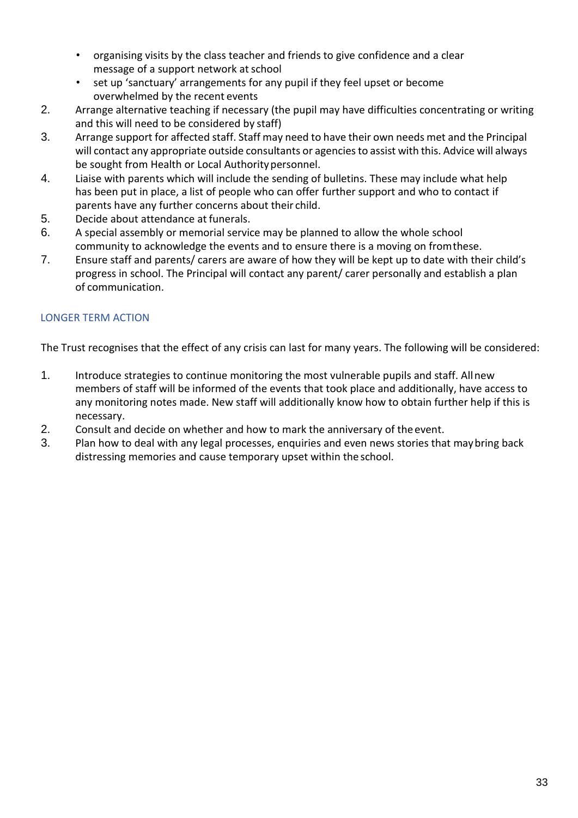- organising visits by the class teacher and friends to give confidence and a clear message of a support network at school
- set up 'sanctuary' arrangements for any pupil if they feel upset or become overwhelmed by the recent events
- 2. Arrange alternative teaching if necessary (the pupil may have difficulties concentrating or writing and this will need to be considered by staff)
- 3. Arrange support for affected staff. Staff may need to have their own needs met and the Principal will contact any appropriate outside consultants or agencies to assist with this. Advice will always be sought from Health or Local Authoritypersonnel.
- 4. Liaise with parents which will include the sending of bulletins. These may include what help has been put in place, a list of people who can offer further support and who to contact if parents have any further concerns about their child.
- 5. Decide about attendance at funerals.
- 6. A special assembly or memorial service may be planned to allow the whole school community to acknowledge the events and to ensure there is a moving on fromthese.
- 7. Ensure staff and parents/ carers are aware of how they will be kept up to date with their child's progress in school. The Principal will contact any parent/ carer personally and establish a plan of communication.

# LONGER TERM ACTION

The Trust recognises that the effect of any crisis can last for many years. The following will be considered:

- 1. Introduce strategies to continue monitoring the most vulnerable pupils and staff. Allnew members of staff will be informed of the events that took place and additionally, have access to any monitoring notes made. New staff will additionally know how to obtain further help if this is necessary.
- 2. Consult and decide on whether and how to mark the anniversary of the event.<br>3. Plan how to deal with any legal processes, enquiries and even news stories tha
- Plan how to deal with any legal processes, enquiries and even news stories that may bring back distressing memories and cause temporary upset within the school.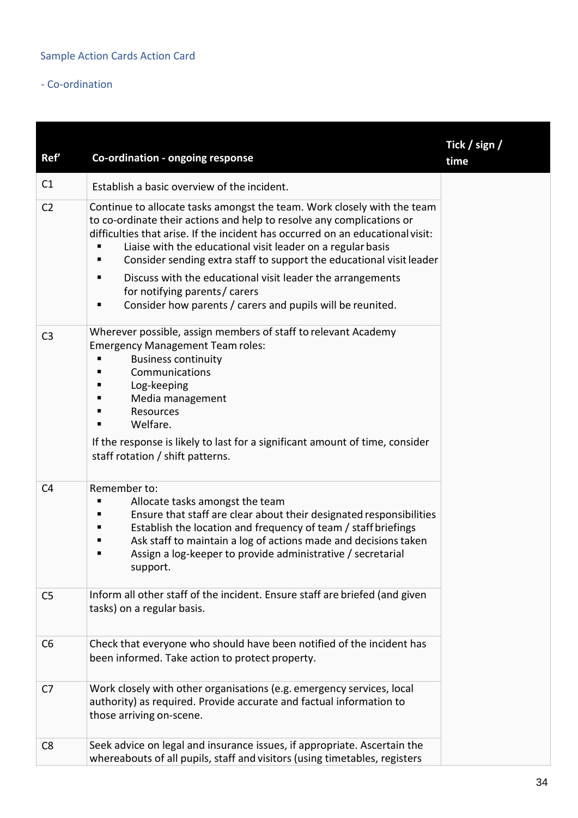# - Co-ordination

| Ref'           | Co-ordination - ongoing response                                                                                                                                                                                                                                                                                                                                                                                                                                                                                                                  | Tick / sign /<br>time |
|----------------|---------------------------------------------------------------------------------------------------------------------------------------------------------------------------------------------------------------------------------------------------------------------------------------------------------------------------------------------------------------------------------------------------------------------------------------------------------------------------------------------------------------------------------------------------|-----------------------|
| C1             | Establish a basic overview of the incident.                                                                                                                                                                                                                                                                                                                                                                                                                                                                                                       |                       |
| C <sub>2</sub> | Continue to allocate tasks amongst the team. Work closely with the team<br>to co-ordinate their actions and help to resolve any complications or<br>difficulties that arise. If the incident has occurred on an educational visit:<br>Liaise with the educational visit leader on a regular basis<br>Consider sending extra staff to support the educational visit leader<br>п<br>Discuss with the educational visit leader the arrangements<br>п<br>for notifying parents / carers<br>Consider how parents / carers and pupils will be reunited. |                       |
| C <sub>3</sub> | Wherever possible, assign members of staff to relevant Academy<br><b>Emergency Management Team roles:</b><br><b>Business continuity</b><br>Communications<br>Log-keeping<br>Media management<br>Resources<br>Welfare.<br>If the response is likely to last for a significant amount of time, consider<br>staff rotation / shift patterns.                                                                                                                                                                                                         |                       |
| C <sub>4</sub> | Remember to:<br>Allocate tasks amongst the team<br>Ensure that staff are clear about their designated responsibilities<br>Establish the location and frequency of team / staff briefings<br>■<br>Ask staff to maintain a log of actions made and decisions taken<br>п<br>Assign a log-keeper to provide administrative / secretarial<br>support.                                                                                                                                                                                                  |                       |
| C <sub>5</sub> | Inform all other staff of the incident. Ensure staff are briefed (and given<br>tasks) on a regular basis.                                                                                                                                                                                                                                                                                                                                                                                                                                         |                       |
| C <sub>6</sub> | Check that everyone who should have been notified of the incident has<br>been informed. Take action to protect property.                                                                                                                                                                                                                                                                                                                                                                                                                          |                       |
| C7             | Work closely with other organisations (e.g. emergency services, local<br>authority) as required. Provide accurate and factual information to<br>those arriving on-scene.                                                                                                                                                                                                                                                                                                                                                                          |                       |
| C <sub>8</sub> | Seek advice on legal and insurance issues, if appropriate. Ascertain the<br>whereabouts of all pupils, staff and visitors (using timetables, registers                                                                                                                                                                                                                                                                                                                                                                                            |                       |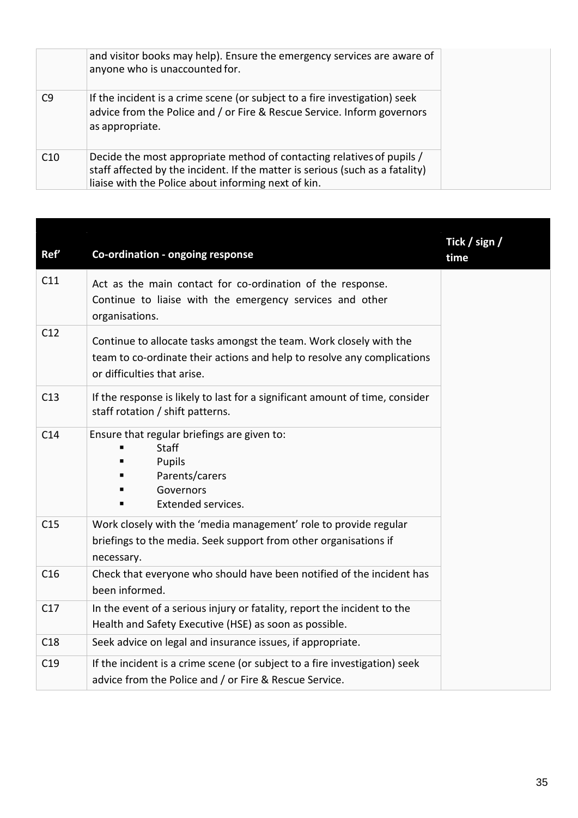|     | and visitor books may help). Ensure the emergency services are aware of<br>anyone who is unaccounted for.                                                                                                      |
|-----|----------------------------------------------------------------------------------------------------------------------------------------------------------------------------------------------------------------|
| C9  | If the incident is a crime scene (or subject to a fire investigation) seek<br>advice from the Police and / or Fire & Rescue Service. Inform governors<br>as appropriate.                                       |
| C10 | Decide the most appropriate method of contacting relatives of pupils /<br>staff affected by the incident. If the matter is serious (such as a fatality)<br>liaise with the Police about informing next of kin. |

| Ref' | Co-ordination - ongoing response                                                                                                                                             | Tick / sign /<br>time |
|------|------------------------------------------------------------------------------------------------------------------------------------------------------------------------------|-----------------------|
| C11  | Act as the main contact for co-ordination of the response.<br>Continue to liaise with the emergency services and other<br>organisations.                                     |                       |
| C12  | Continue to allocate tasks amongst the team. Work closely with the<br>team to co-ordinate their actions and help to resolve any complications<br>or difficulties that arise. |                       |
| C13  | If the response is likely to last for a significant amount of time, consider<br>staff rotation / shift patterns.                                                             |                       |
| C14  | Ensure that regular briefings are given to:<br><b>Staff</b><br>Pupils<br>Parents/carers<br>Governors<br>Extended services.                                                   |                       |
| C15  | Work closely with the 'media management' role to provide regular<br>briefings to the media. Seek support from other organisations if<br>necessary.                           |                       |
| C16  | Check that everyone who should have been notified of the incident has<br>been informed.                                                                                      |                       |
| C17  | In the event of a serious injury or fatality, report the incident to the<br>Health and Safety Executive (HSE) as soon as possible.                                           |                       |
| C18  | Seek advice on legal and insurance issues, if appropriate.                                                                                                                   |                       |
| C19  | If the incident is a crime scene (or subject to a fire investigation) seek<br>advice from the Police and / or Fire & Rescue Service.                                         |                       |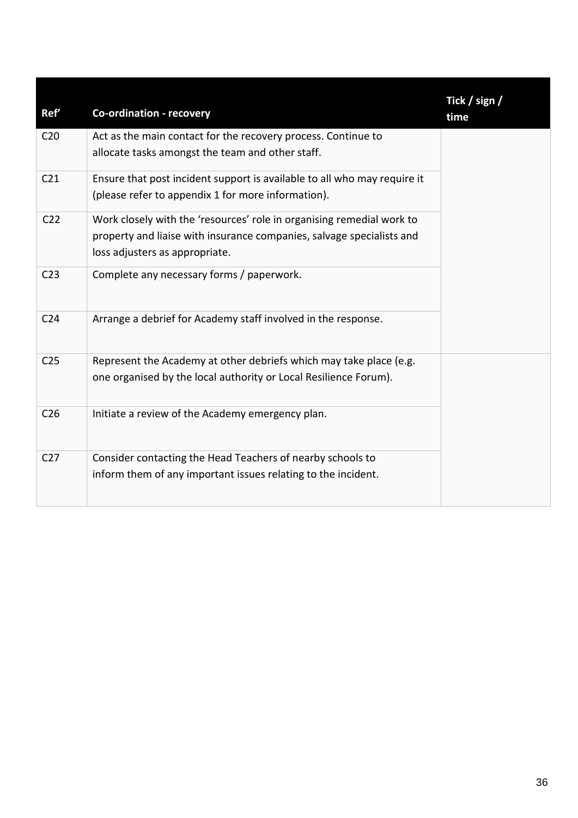| Ref'            | <b>Co-ordination - recovery</b>                                                                                                                                                  | Tick / sign /<br>time |
|-----------------|----------------------------------------------------------------------------------------------------------------------------------------------------------------------------------|-----------------------|
| C <sub>20</sub> | Act as the main contact for the recovery process. Continue to<br>allocate tasks amongst the team and other staff.                                                                |                       |
| C <sub>21</sub> | Ensure that post incident support is available to all who may require it<br>(please refer to appendix 1 for more information).                                                   |                       |
| C <sub>22</sub> | Work closely with the 'resources' role in organising remedial work to<br>property and liaise with insurance companies, salvage specialists and<br>loss adjusters as appropriate. |                       |
| C <sub>23</sub> | Complete any necessary forms / paperwork.                                                                                                                                        |                       |
| C <sub>24</sub> | Arrange a debrief for Academy staff involved in the response.                                                                                                                    |                       |
| C <sub>25</sub> | Represent the Academy at other debriefs which may take place (e.g.<br>one organised by the local authority or Local Resilience Forum).                                           |                       |
| C <sub>26</sub> | Initiate a review of the Academy emergency plan.                                                                                                                                 |                       |
| C <sub>27</sub> | Consider contacting the Head Teachers of nearby schools to<br>inform them of any important issues relating to the incident.                                                      |                       |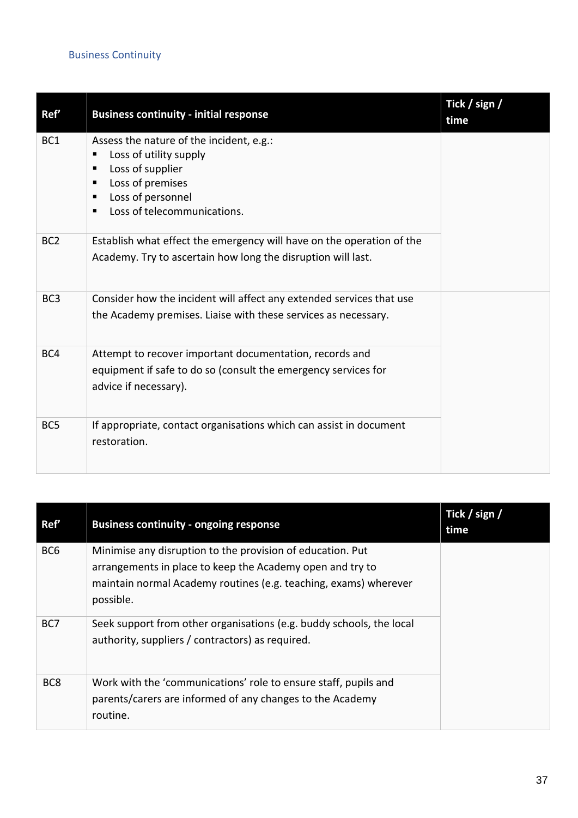# Business Continuity

| Ref'            | <b>Business continuity - initial response</b>                                                                                                                                                        | Tick / sign /<br>time |
|-----------------|------------------------------------------------------------------------------------------------------------------------------------------------------------------------------------------------------|-----------------------|
| BC <sub>1</sub> | Assess the nature of the incident, e.g.:<br>Loss of utility supply<br>п<br>Loss of supplier<br>٠<br>Loss of premises<br>$\blacksquare$<br>Loss of personnel<br>٠<br>Loss of telecommunications.<br>п |                       |
| BC <sub>2</sub> | Establish what effect the emergency will have on the operation of the<br>Academy. Try to ascertain how long the disruption will last.                                                                |                       |
| BC <sub>3</sub> | Consider how the incident will affect any extended services that use<br>the Academy premises. Liaise with these services as necessary.                                                               |                       |
| BC4             | Attempt to recover important documentation, records and<br>equipment if safe to do so (consult the emergency services for<br>advice if necessary).                                                   |                       |
| BC <sub>5</sub> | If appropriate, contact organisations which can assist in document<br>restoration.                                                                                                                   |                       |

| Ref'            | <b>Business continuity - ongoing response</b>                                                                                                                                                            | Tick / sign /<br>time |
|-----------------|----------------------------------------------------------------------------------------------------------------------------------------------------------------------------------------------------------|-----------------------|
| BC <sub>6</sub> | Minimise any disruption to the provision of education. Put<br>arrangements in place to keep the Academy open and try to<br>maintain normal Academy routines (e.g. teaching, exams) wherever<br>possible. |                       |
| BC7             | Seek support from other organisations (e.g. buddy schools, the local<br>authority, suppliers / contractors) as required.                                                                                 |                       |
| BC <sub>8</sub> | Work with the 'communications' role to ensure staff, pupils and<br>parents/carers are informed of any changes to the Academy<br>routine.                                                                 |                       |

--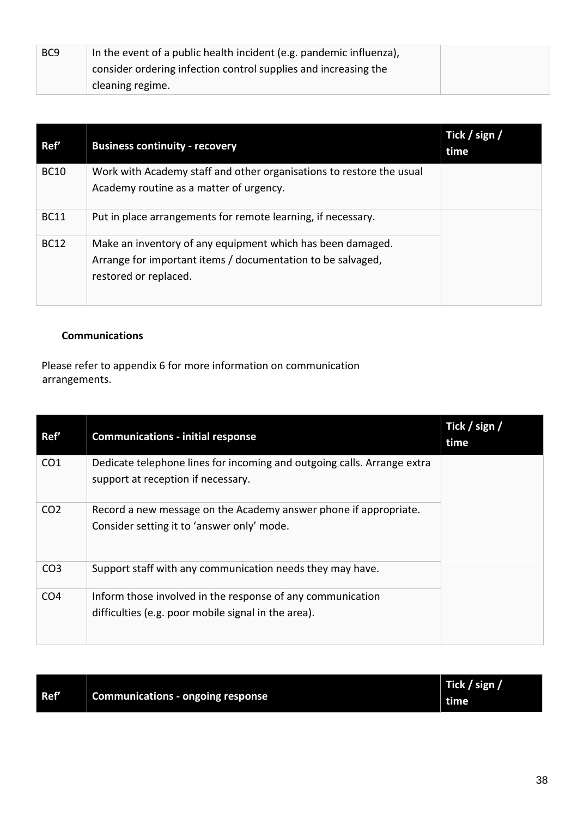| BC <sub>9</sub> | In the event of a public health incident (e.g. pandemic influenza), |  |
|-----------------|---------------------------------------------------------------------|--|
|                 | consider ordering infection control supplies and increasing the     |  |
|                 | cleaning regime.                                                    |  |

| Ref'        | <b>Business continuity - recovery</b>                                | Tick / sign /<br>time |
|-------------|----------------------------------------------------------------------|-----------------------|
| <b>BC10</b> | Work with Academy staff and other organisations to restore the usual |                       |
|             | Academy routine as a matter of urgency.                              |                       |
| <b>BC11</b> | Put in place arrangements for remote learning, if necessary.         |                       |
| <b>BC12</b> | Make an inventory of any equipment which has been damaged.           |                       |
|             | Arrange for important items / documentation to be salvaged,          |                       |
|             | restored or replaced.                                                |                       |
|             |                                                                      |                       |

# **Communications**

Please refer to appendix 6 for more information on communication arrangements.

| Ref'            | <b>Communications - initial response</b>                                                                          | Tick / sign /<br>time |
|-----------------|-------------------------------------------------------------------------------------------------------------------|-----------------------|
| CO <sub>1</sub> | Dedicate telephone lines for incoming and outgoing calls. Arrange extra<br>support at reception if necessary.     |                       |
| CO <sub>2</sub> | Record a new message on the Academy answer phone if appropriate.<br>Consider setting it to 'answer only' mode.    |                       |
| CO <sub>3</sub> | Support staff with any communication needs they may have.                                                         |                       |
| CO <sub>4</sub> | Inform those involved in the response of any communication<br>difficulties (e.g. poor mobile signal in the area). |                       |

|      |                                          | Tick / sign / |
|------|------------------------------------------|---------------|
| Ref' | <b>Communications - ongoing response</b> | time          |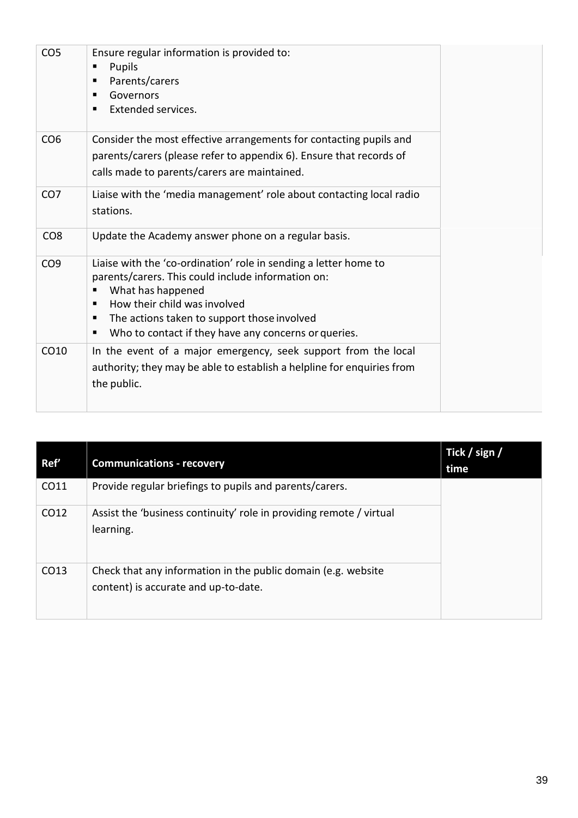| CO <sub>5</sub> | Ensure regular information is provided to:<br>Pupils<br>п<br>Parents/carers<br>п<br>Governors<br>п<br><b>Extended services.</b>                                                                                                                                                                   |
|-----------------|---------------------------------------------------------------------------------------------------------------------------------------------------------------------------------------------------------------------------------------------------------------------------------------------------|
| CO <sub>6</sub> | Consider the most effective arrangements for contacting pupils and<br>parents/carers (please refer to appendix 6). Ensure that records of<br>calls made to parents/carers are maintained.                                                                                                         |
| CO <sub>7</sub> | Liaise with the 'media management' role about contacting local radio<br>stations.                                                                                                                                                                                                                 |
| CO <sub>8</sub> | Update the Academy answer phone on a regular basis.                                                                                                                                                                                                                                               |
| CO <sub>9</sub> | Liaise with the 'co-ordination' role in sending a letter home to<br>parents/carers. This could include information on:<br>What has happened<br>How their child was involved<br>п<br>The actions taken to support those involved<br>п<br>Who to contact if they have any concerns or queries.<br>п |
| CO10            | In the event of a major emergency, seek support from the local<br>authority; they may be able to establish a helpline for enquiries from<br>the public.                                                                                                                                           |

| Ref' | <b>Communications - recovery</b>                                                                      | Tick / sign /<br>time |
|------|-------------------------------------------------------------------------------------------------------|-----------------------|
| CO11 | Provide regular briefings to pupils and parents/carers.                                               |                       |
| CO12 | Assist the 'business continuity' role in providing remote / virtual<br>learning.                      |                       |
| CO13 | Check that any information in the public domain (e.g. website<br>content) is accurate and up-to-date. |                       |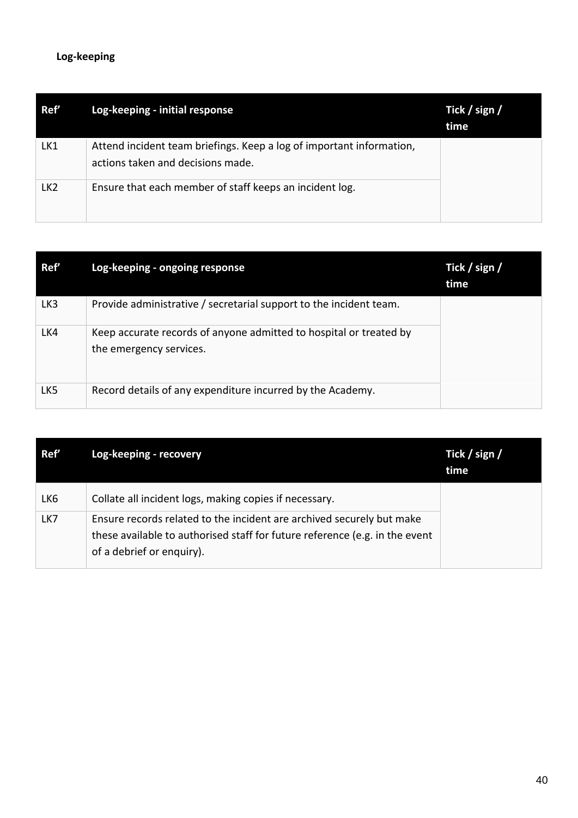# **Log-keeping**

| Ref'            | Log-keeping - initial response                                                                            | Tick / sign /<br>time |
|-----------------|-----------------------------------------------------------------------------------------------------------|-----------------------|
| LK1             | Attend incident team briefings. Keep a log of important information,<br>actions taken and decisions made. |                       |
| LK <sub>2</sub> | Ensure that each member of staff keeps an incident log.                                                   |                       |

| Ref' | Log-keeping - ongoing response                                                                | Tick / sign /<br>time |
|------|-----------------------------------------------------------------------------------------------|-----------------------|
| LK3  | Provide administrative / secretarial support to the incident team.                            |                       |
| LK4  | Keep accurate records of anyone admitted to hospital or treated by<br>the emergency services. |                       |
| LK5  | Record details of any expenditure incurred by the Academy.                                    |                       |

| Ref' | Log-keeping - recovery                                                                                                                                                            | Tick / sign /<br>time |
|------|-----------------------------------------------------------------------------------------------------------------------------------------------------------------------------------|-----------------------|
| LK6  | Collate all incident logs, making copies if necessary.                                                                                                                            |                       |
| LK7  | Ensure records related to the incident are archived securely but make<br>these available to authorised staff for future reference (e.g. in the event<br>of a debrief or enquiry). |                       |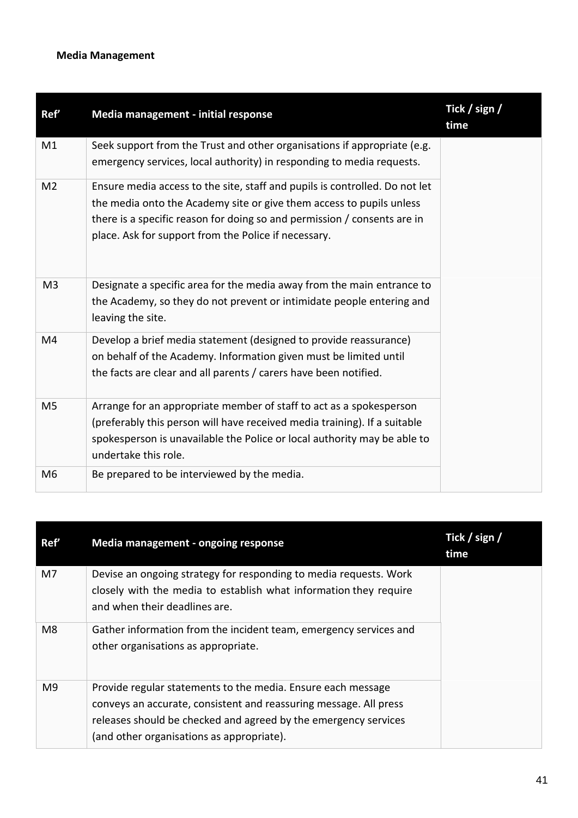# **Media Management**

| Ref'           | Media management - initial response                                                                                                                                                                                                                                                     | Tick / sign /<br>time |
|----------------|-----------------------------------------------------------------------------------------------------------------------------------------------------------------------------------------------------------------------------------------------------------------------------------------|-----------------------|
| M1             | Seek support from the Trust and other organisations if appropriate (e.g.<br>emergency services, local authority) in responding to media requests.                                                                                                                                       |                       |
| M <sub>2</sub> | Ensure media access to the site, staff and pupils is controlled. Do not let<br>the media onto the Academy site or give them access to pupils unless<br>there is a specific reason for doing so and permission / consents are in<br>place. Ask for support from the Police if necessary. |                       |
| M <sub>3</sub> | Designate a specific area for the media away from the main entrance to<br>the Academy, so they do not prevent or intimidate people entering and<br>leaving the site.                                                                                                                    |                       |
| M4             | Develop a brief media statement (designed to provide reassurance)<br>on behalf of the Academy. Information given must be limited until<br>the facts are clear and all parents / carers have been notified.                                                                              |                       |
| M <sub>5</sub> | Arrange for an appropriate member of staff to act as a spokesperson<br>(preferably this person will have received media training). If a suitable<br>spokesperson is unavailable the Police or local authority may be able to<br>undertake this role.                                    |                       |
| M <sub>6</sub> | Be prepared to be interviewed by the media.                                                                                                                                                                                                                                             |                       |

| Ref'           | Media management - ongoing response                                                                                                                                                                                                               | Tick / sign /<br>time |
|----------------|---------------------------------------------------------------------------------------------------------------------------------------------------------------------------------------------------------------------------------------------------|-----------------------|
| M <sub>7</sub> | Devise an ongoing strategy for responding to media requests. Work<br>closely with the media to establish what information they require<br>and when their deadlines are.                                                                           |                       |
| M8             | Gather information from the incident team, emergency services and<br>other organisations as appropriate.                                                                                                                                          |                       |
| M9             | Provide regular statements to the media. Ensure each message<br>conveys an accurate, consistent and reassuring message. All press<br>releases should be checked and agreed by the emergency services<br>(and other organisations as appropriate). |                       |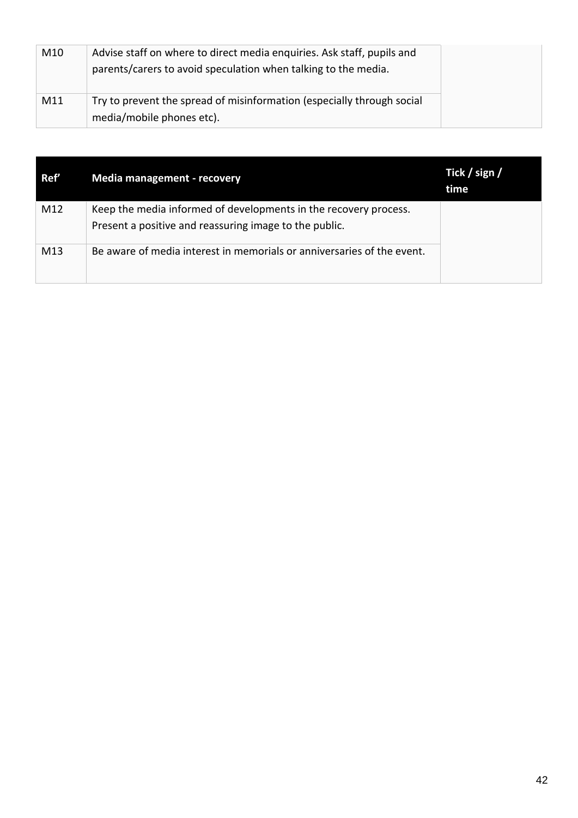| M10 | Advise staff on where to direct media enquiries. Ask staff, pupils and<br>parents/carers to avoid speculation when talking to the media. |
|-----|------------------------------------------------------------------------------------------------------------------------------------------|
| M11 | Try to prevent the spread of misinformation (especially through social<br>media/mobile phones etc).                                      |

| Ref' | <b>Media management - recovery</b>                                                                                         | Tick / sign /<br>time |
|------|----------------------------------------------------------------------------------------------------------------------------|-----------------------|
| M12  | Keep the media informed of developments in the recovery process.<br>Present a positive and reassuring image to the public. |                       |
| M13  | Be aware of media interest in memorials or anniversaries of the event.                                                     |                       |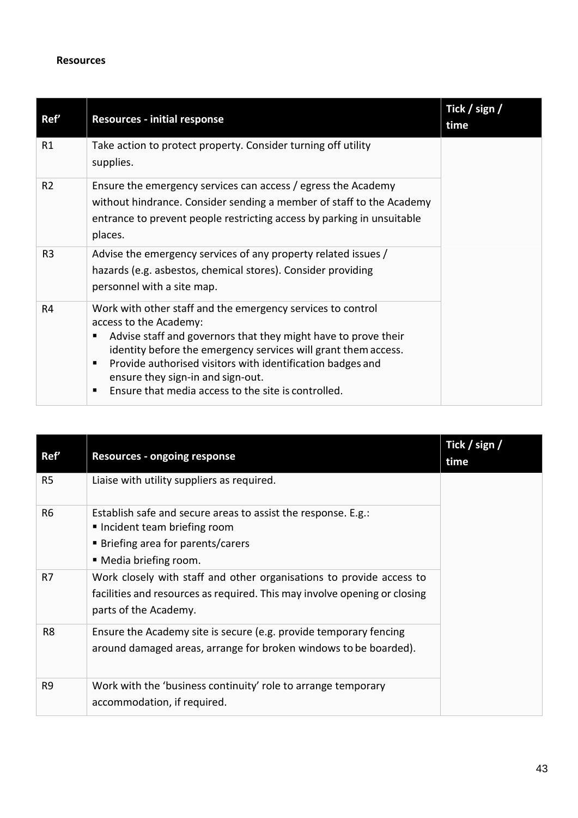#### **Resources**

| Ref'           | <b>Resources - initial response</b>                                                                                                                                                                                                                                                                                                                                                 | Tick / sign /<br>time |
|----------------|-------------------------------------------------------------------------------------------------------------------------------------------------------------------------------------------------------------------------------------------------------------------------------------------------------------------------------------------------------------------------------------|-----------------------|
| R1             | Take action to protect property. Consider turning off utility<br>supplies.                                                                                                                                                                                                                                                                                                          |                       |
| R <sub>2</sub> | Ensure the emergency services can access / egress the Academy<br>without hindrance. Consider sending a member of staff to the Academy<br>entrance to prevent people restricting access by parking in unsuitable<br>places.                                                                                                                                                          |                       |
| R <sub>3</sub> | Advise the emergency services of any property related issues /<br>hazards (e.g. asbestos, chemical stores). Consider providing<br>personnel with a site map.                                                                                                                                                                                                                        |                       |
| R4             | Work with other staff and the emergency services to control<br>access to the Academy:<br>Advise staff and governors that they might have to prove their<br>identity before the emergency services will grant them access.<br>Provide authorised visitors with identification badges and<br>ensure they sign-in and sign-out.<br>Ensure that media access to the site is controlled. |                       |

| Ref'           | <b>Resources - ongoing response</b>                                                                                                                                        | Tick / sign /<br>time |
|----------------|----------------------------------------------------------------------------------------------------------------------------------------------------------------------------|-----------------------|
| R <sub>5</sub> | Liaise with utility suppliers as required.                                                                                                                                 |                       |
| R <sub>6</sub> | Establish safe and secure areas to assist the response. E.g.:<br>■ Incident team briefing room<br>■ Briefing area for parents/carers<br>■ Media briefing room.             |                       |
| R <sub>7</sub> | Work closely with staff and other organisations to provide access to<br>facilities and resources as required. This may involve opening or closing<br>parts of the Academy. |                       |
| R <sub>8</sub> | Ensure the Academy site is secure (e.g. provide temporary fencing<br>around damaged areas, arrange for broken windows to be boarded).                                      |                       |
| R <sub>9</sub> | Work with the 'business continuity' role to arrange temporary<br>accommodation, if required.                                                                               |                       |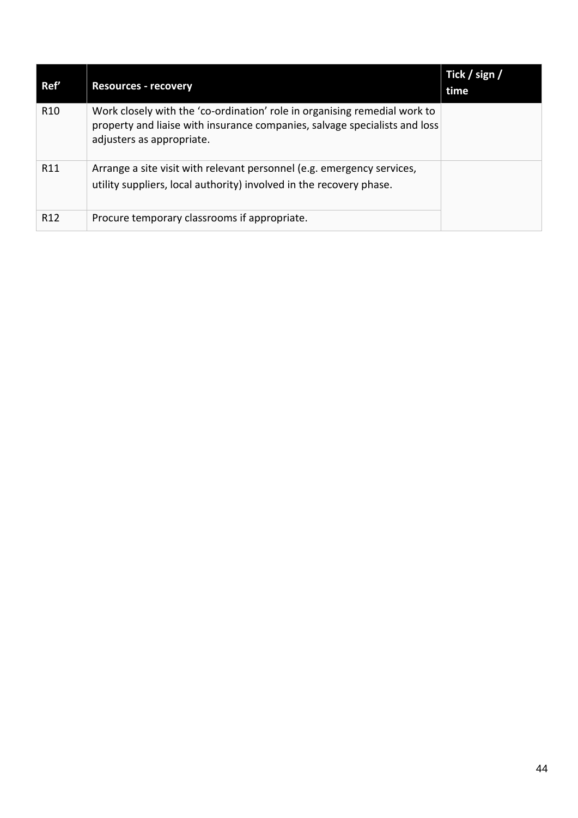| Ref'            | <b>Resources - recovery</b>                                                                                                                                                          | Tick / sign /<br>time |
|-----------------|--------------------------------------------------------------------------------------------------------------------------------------------------------------------------------------|-----------------------|
| R <sub>10</sub> | Work closely with the 'co-ordination' role in organising remedial work to<br>property and liaise with insurance companies, salvage specialists and loss<br>adjusters as appropriate. |                       |
| R <sub>11</sub> | Arrange a site visit with relevant personnel (e.g. emergency services,<br>utility suppliers, local authority) involved in the recovery phase.                                        |                       |
| R <sub>12</sub> | Procure temporary classrooms if appropriate.                                                                                                                                         |                       |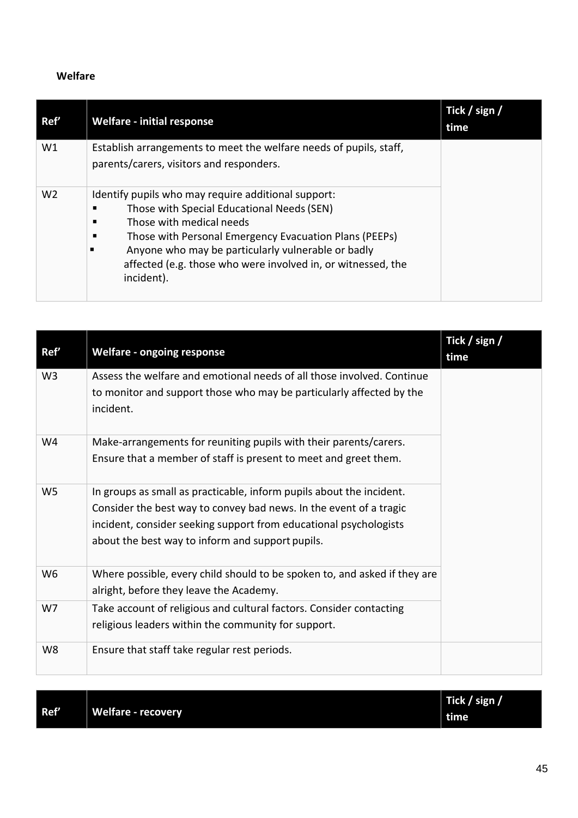# **Welfare**

| Ref'           | <b>Welfare - initial response</b>                                                                                                                                                                                                                                                                                                     | Tick / sign /<br>time |
|----------------|---------------------------------------------------------------------------------------------------------------------------------------------------------------------------------------------------------------------------------------------------------------------------------------------------------------------------------------|-----------------------|
| W1             | Establish arrangements to meet the welfare needs of pupils, staff,<br>parents/carers, visitors and responders.                                                                                                                                                                                                                        |                       |
| W <sub>2</sub> | Identify pupils who may require additional support:<br>Those with Special Educational Needs (SEN)<br>Those with medical needs<br>п<br>Those with Personal Emergency Evacuation Plans (PEEPs)<br>п<br>Anyone who may be particularly vulnerable or badly<br>affected (e.g. those who were involved in, or witnessed, the<br>incident). |                       |

|                |                                                                                                                                                                                                                                                                     | Tick / sign / |
|----------------|---------------------------------------------------------------------------------------------------------------------------------------------------------------------------------------------------------------------------------------------------------------------|---------------|
| Ref'           | <b>Welfare - ongoing response</b>                                                                                                                                                                                                                                   | time          |
| W <sub>3</sub> | Assess the welfare and emotional needs of all those involved. Continue<br>to monitor and support those who may be particularly affected by the<br>incident.                                                                                                         |               |
| W4             | Make-arrangements for reuniting pupils with their parents/carers.<br>Ensure that a member of staff is present to meet and greet them.                                                                                                                               |               |
| W <sub>5</sub> | In groups as small as practicable, inform pupils about the incident.<br>Consider the best way to convey bad news. In the event of a tragic<br>incident, consider seeking support from educational psychologists<br>about the best way to inform and support pupils. |               |
| W <sub>6</sub> | Where possible, every child should to be spoken to, and asked if they are<br>alright, before they leave the Academy.                                                                                                                                                |               |
| W7             | Take account of religious and cultural factors. Consider contacting<br>religious leaders within the community for support.                                                                                                                                          |               |
| W8             | Ensure that staff take regular rest periods.                                                                                                                                                                                                                        |               |

|      |                    | Tick / sign / |
|------|--------------------|---------------|
| Ref' | Welfare - recovery | ∣ time        |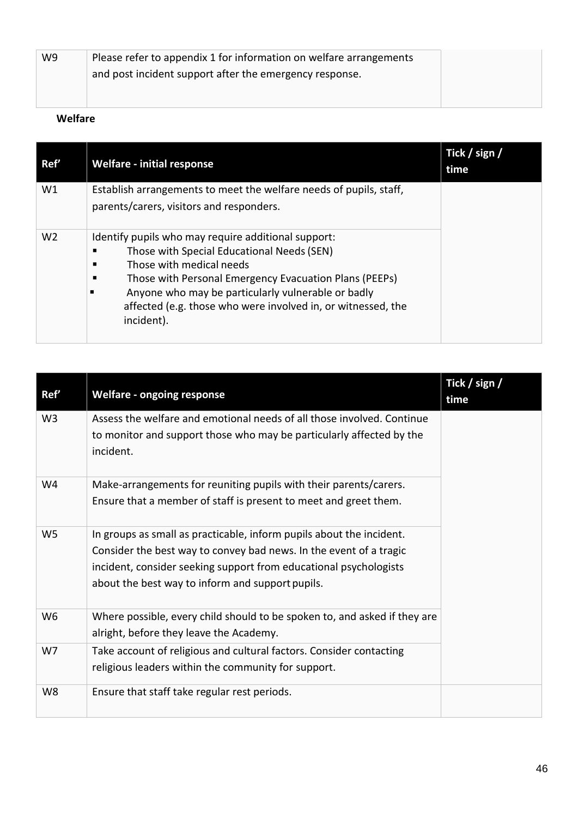| W9 | Please refer to appendix 1 for information on welfare arrangements |  |
|----|--------------------------------------------------------------------|--|
|    | and post incident support after the emergency response.            |  |
|    |                                                                    |  |

# **Welfare**

| Ref'           | <b>Welfare - initial response</b>                                          | Tick / sign /<br>time |
|----------------|----------------------------------------------------------------------------|-----------------------|
| W1             | Establish arrangements to meet the welfare needs of pupils, staff,         |                       |
|                | parents/carers, visitors and responders.                                   |                       |
| W <sub>2</sub> | Identify pupils who may require additional support:                        |                       |
|                | Those with Special Educational Needs (SEN)                                 |                       |
|                | Those with medical needs                                                   |                       |
|                | Those with Personal Emergency Evacuation Plans (PEEPs)                     |                       |
|                | Anyone who may be particularly vulnerable or badly                         |                       |
|                | affected (e.g. those who were involved in, or witnessed, the<br>incident). |                       |

| Ref'           | <b>Welfare - ongoing response</b>                                                                                                                                                                                                                                   | Tick / sign /<br>time |
|----------------|---------------------------------------------------------------------------------------------------------------------------------------------------------------------------------------------------------------------------------------------------------------------|-----------------------|
| W <sub>3</sub> | Assess the welfare and emotional needs of all those involved. Continue<br>to monitor and support those who may be particularly affected by the<br>incident.                                                                                                         |                       |
| W4             | Make-arrangements for reuniting pupils with their parents/carers.<br>Ensure that a member of staff is present to meet and greet them.                                                                                                                               |                       |
| W <sub>5</sub> | In groups as small as practicable, inform pupils about the incident.<br>Consider the best way to convey bad news. In the event of a tragic<br>incident, consider seeking support from educational psychologists<br>about the best way to inform and support pupils. |                       |
| W <sub>6</sub> | Where possible, every child should to be spoken to, and asked if they are<br>alright, before they leave the Academy.                                                                                                                                                |                       |
| W7             | Take account of religious and cultural factors. Consider contacting<br>religious leaders within the community for support.                                                                                                                                          |                       |
| W8             | Ensure that staff take regular rest periods.                                                                                                                                                                                                                        |                       |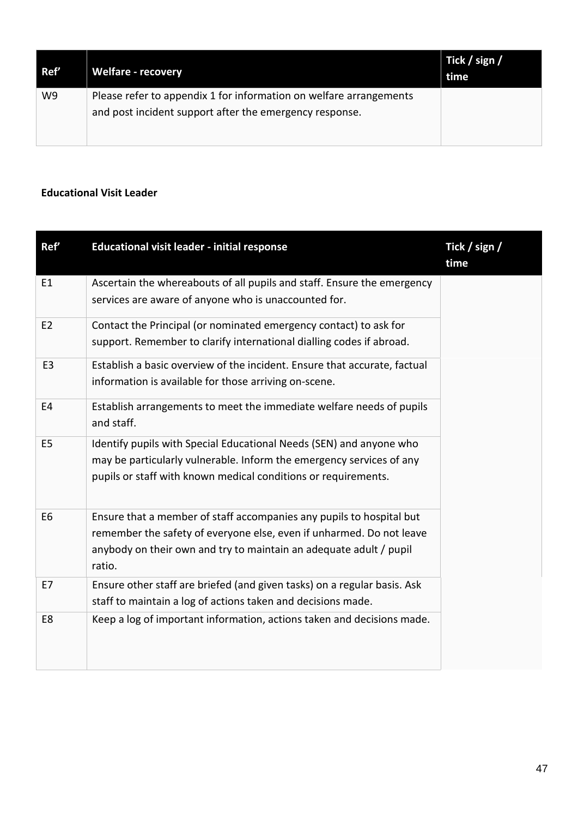| Ref' | <b>Welfare - recovery</b>                                                                                                     | Tick / sign /<br>time |
|------|-------------------------------------------------------------------------------------------------------------------------------|-----------------------|
| W9   | Please refer to appendix 1 for information on welfare arrangements<br>and post incident support after the emergency response. |                       |

# **Educational Visit Leader**

| Ref'           | <b>Educational visit leader - initial response</b>                                                                                                                                                                           | Tick / sign /<br>time |
|----------------|------------------------------------------------------------------------------------------------------------------------------------------------------------------------------------------------------------------------------|-----------------------|
| E1             | Ascertain the whereabouts of all pupils and staff. Ensure the emergency<br>services are aware of anyone who is unaccounted for.                                                                                              |                       |
| E <sub>2</sub> | Contact the Principal (or nominated emergency contact) to ask for<br>support. Remember to clarify international dialling codes if abroad.                                                                                    |                       |
| E <sub>3</sub> | Establish a basic overview of the incident. Ensure that accurate, factual<br>information is available for those arriving on-scene.                                                                                           |                       |
| E4             | Establish arrangements to meet the immediate welfare needs of pupils<br>and staff.                                                                                                                                           |                       |
| E5             | Identify pupils with Special Educational Needs (SEN) and anyone who<br>may be particularly vulnerable. Inform the emergency services of any<br>pupils or staff with known medical conditions or requirements.                |                       |
| E <sub>6</sub> | Ensure that a member of staff accompanies any pupils to hospital but<br>remember the safety of everyone else, even if unharmed. Do not leave<br>anybody on their own and try to maintain an adequate adult / pupil<br>ratio. |                       |
| E7             | Ensure other staff are briefed (and given tasks) on a regular basis. Ask<br>staff to maintain a log of actions taken and decisions made.                                                                                     |                       |
| E8             | Keep a log of important information, actions taken and decisions made.                                                                                                                                                       |                       |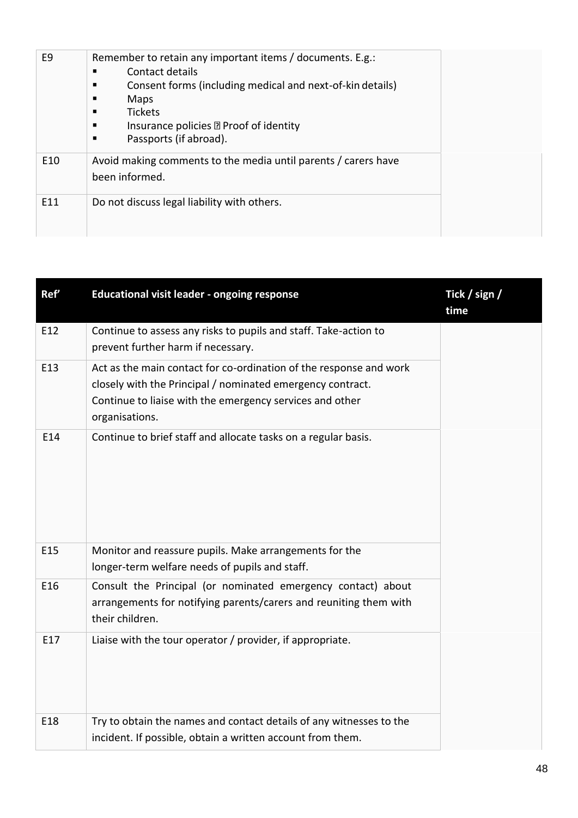| E <sub>9</sub> | Remember to retain any important items / documents. E.g.:<br>Contact details<br>п<br>Consent forms (including medical and next-of-kin details)<br>Maps<br><b>Tickets</b><br>Insurance policies 2 Proof of identity<br>п<br>Passports (if abroad). |  |
|----------------|---------------------------------------------------------------------------------------------------------------------------------------------------------------------------------------------------------------------------------------------------|--|
| E10            | Avoid making comments to the media until parents / carers have<br>been informed.                                                                                                                                                                  |  |
| E11            | Do not discuss legal liability with others.                                                                                                                                                                                                       |  |

| Ref'            | <b>Educational visit leader - ongoing response</b>                                                                                                                                                             | Tick / sign /<br>time |
|-----------------|----------------------------------------------------------------------------------------------------------------------------------------------------------------------------------------------------------------|-----------------------|
| E12             | Continue to assess any risks to pupils and staff. Take-action to<br>prevent further harm if necessary.                                                                                                         |                       |
| E13             | Act as the main contact for co-ordination of the response and work<br>closely with the Principal / nominated emergency contract.<br>Continue to liaise with the emergency services and other<br>organisations. |                       |
| E14             | Continue to brief staff and allocate tasks on a regular basis.                                                                                                                                                 |                       |
| E <sub>15</sub> | Monitor and reassure pupils. Make arrangements for the<br>longer-term welfare needs of pupils and staff.                                                                                                       |                       |
| E16             | Consult the Principal (or nominated emergency contact) about<br>arrangements for notifying parents/carers and reuniting them with<br>their children.                                                           |                       |
| E17             | Liaise with the tour operator / provider, if appropriate.                                                                                                                                                      |                       |
| E18             | Try to obtain the names and contact details of any witnesses to the<br>incident. If possible, obtain a written account from them.                                                                              |                       |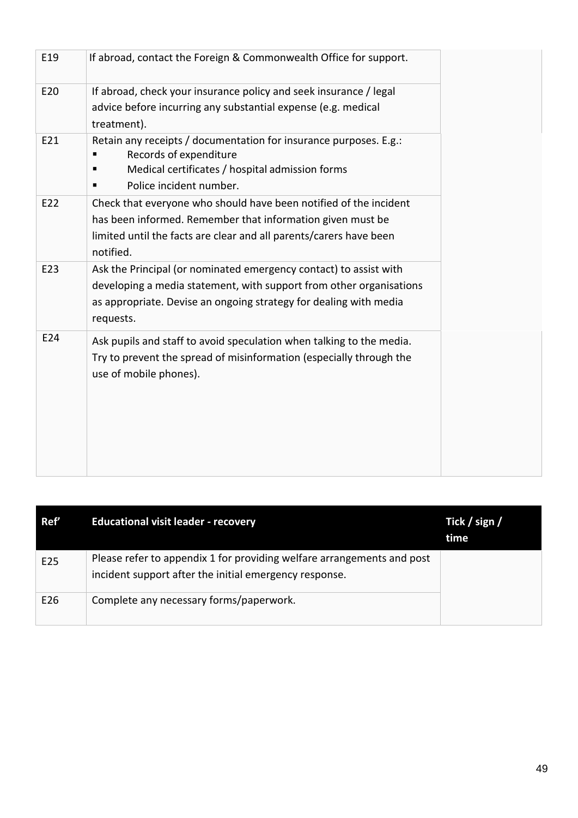| E19 | If abroad, contact the Foreign & Commonwealth Office for support.                           |
|-----|---------------------------------------------------------------------------------------------|
| E20 | If abroad, check your insurance policy and seek insurance / legal                           |
|     | advice before incurring any substantial expense (e.g. medical<br>treatment).                |
| E21 | Retain any receipts / documentation for insurance purposes. E.g.:<br>Records of expenditure |
|     | Medical certificates / hospital admission forms                                             |
|     | Police incident number.                                                                     |
| E22 | Check that everyone who should have been notified of the incident                           |
|     | has been informed. Remember that information given must be                                  |
|     | limited until the facts are clear and all parents/carers have been<br>notified.             |
| E23 | Ask the Principal (or nominated emergency contact) to assist with                           |
|     | developing a media statement, with support from other organisations                         |
|     | as appropriate. Devise an ongoing strategy for dealing with media<br>requests.              |
| E24 | Ask pupils and staff to avoid speculation when talking to the media.                        |
|     | Try to prevent the spread of misinformation (especially through the                         |
|     | use of mobile phones).                                                                      |
|     |                                                                                             |
|     |                                                                                             |
|     |                                                                                             |
|     |                                                                                             |
|     |                                                                                             |

| Ref'            | <b>Educational visit leader - recovery</b>                                                                                       | Tick / sign /<br>time |
|-----------------|----------------------------------------------------------------------------------------------------------------------------------|-----------------------|
| E <sub>25</sub> | Please refer to appendix 1 for providing welfare arrangements and post<br>incident support after the initial emergency response. |                       |
| E26             | Complete any necessary forms/paperwork.                                                                                          |                       |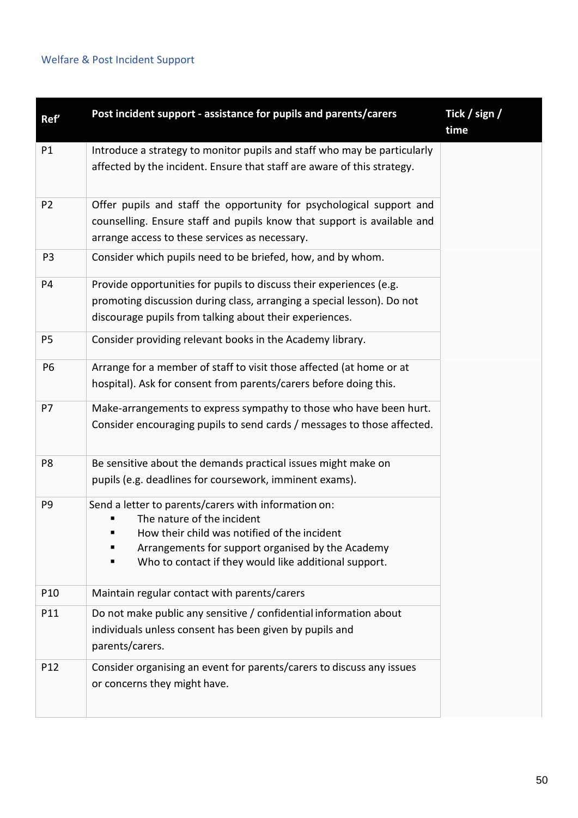# Welfare & Post Incident Support

| Ref'           | Post incident support - assistance for pupils and parents/carers                                                                                                                                                                                      | Tick / sign /<br>time |
|----------------|-------------------------------------------------------------------------------------------------------------------------------------------------------------------------------------------------------------------------------------------------------|-----------------------|
| P1             | Introduce a strategy to monitor pupils and staff who may be particularly<br>affected by the incident. Ensure that staff are aware of this strategy.                                                                                                   |                       |
| P <sub>2</sub> | Offer pupils and staff the opportunity for psychological support and<br>counselling. Ensure staff and pupils know that support is available and<br>arrange access to these services as necessary.                                                     |                       |
| P <sub>3</sub> | Consider which pupils need to be briefed, how, and by whom.                                                                                                                                                                                           |                       |
| <b>P4</b>      | Provide opportunities for pupils to discuss their experiences (e.g.<br>promoting discussion during class, arranging a special lesson). Do not<br>discourage pupils from talking about their experiences.                                              |                       |
| P <sub>5</sub> | Consider providing relevant books in the Academy library.                                                                                                                                                                                             |                       |
| P <sub>6</sub> | Arrange for a member of staff to visit those affected (at home or at<br>hospital). Ask for consent from parents/carers before doing this.                                                                                                             |                       |
| P7             | Make-arrangements to express sympathy to those who have been hurt.<br>Consider encouraging pupils to send cards / messages to those affected.                                                                                                         |                       |
| P <sub>8</sub> | Be sensitive about the demands practical issues might make on<br>pupils (e.g. deadlines for coursework, imminent exams).                                                                                                                              |                       |
| P <sub>9</sub> | Send a letter to parents/carers with information on:<br>The nature of the incident<br>How their child was notified of the incident<br>Arrangements for support organised by the Academy<br>Who to contact if they would like additional support.<br>п |                       |
| P10            | Maintain regular contact with parents/carers                                                                                                                                                                                                          |                       |
| P11            | Do not make public any sensitive / confidential information about<br>individuals unless consent has been given by pupils and<br>parents/carers.                                                                                                       |                       |
| P12            | Consider organising an event for parents/carers to discuss any issues<br>or concerns they might have.                                                                                                                                                 |                       |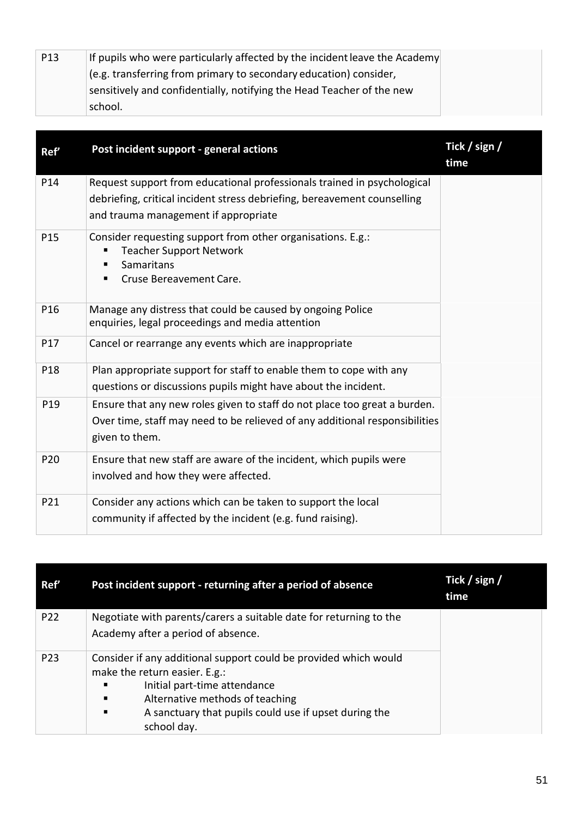| P <sub>13</sub> | If pupils who were particularly affected by the incident leave the Academy |
|-----------------|----------------------------------------------------------------------------|
|                 | $\vert$ (e.g. transferring from primary to secondary education) consider,  |
|                 | sensitively and confidentially, notifying the Head Teacher of the new      |
|                 | school.                                                                    |

| Ref'            | Post incident support - general actions                                     | Tick / sign /<br>time |
|-----------------|-----------------------------------------------------------------------------|-----------------------|
| P14             | Request support from educational professionals trained in psychological     |                       |
|                 | debriefing, critical incident stress debriefing, bereavement counselling    |                       |
|                 | and trauma management if appropriate                                        |                       |
| P <sub>15</sub> | Consider requesting support from other organisations. E.g.:                 |                       |
|                 | <b>Teacher Support Network</b><br>Samaritans<br>п                           |                       |
|                 | Cruse Bereavement Care.                                                     |                       |
|                 |                                                                             |                       |
| P16             | Manage any distress that could be caused by ongoing Police                  |                       |
|                 | enquiries, legal proceedings and media attention                            |                       |
| P17             | Cancel or rearrange any events which are inappropriate                      |                       |
| P18             | Plan appropriate support for staff to enable them to cope with any          |                       |
|                 | questions or discussions pupils might have about the incident.              |                       |
| P19             | Ensure that any new roles given to staff do not place too great a burden.   |                       |
|                 | Over time, staff may need to be relieved of any additional responsibilities |                       |
|                 | given to them.                                                              |                       |
| P20             | Ensure that new staff are aware of the incident, which pupils were          |                       |
|                 | involved and how they were affected.                                        |                       |
| P21             | Consider any actions which can be taken to support the local                |                       |
|                 | community if affected by the incident (e.g. fund raising).                  |                       |

| Ref'            | Post incident support - returning after a period of absence                                                                                                                                                                                            | Tick / sign /<br>time |
|-----------------|--------------------------------------------------------------------------------------------------------------------------------------------------------------------------------------------------------------------------------------------------------|-----------------------|
| P <sub>22</sub> | Negotiate with parents/carers a suitable date for returning to the<br>Academy after a period of absence.                                                                                                                                               |                       |
| P <sub>23</sub> | Consider if any additional support could be provided which would<br>make the return easier. E.g.:<br>Initial part-time attendance<br>Alternative methods of teaching<br>п<br>A sanctuary that pupils could use if upset during the<br>п<br>school day. |                       |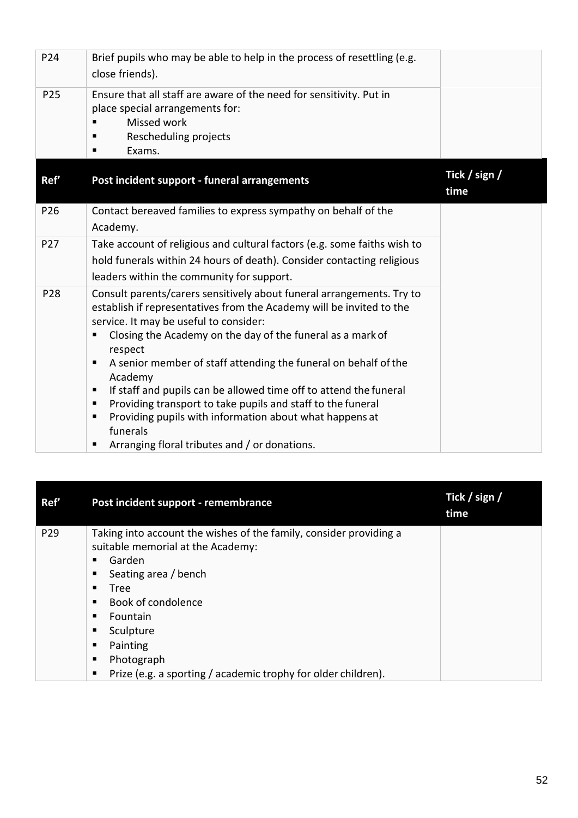| P24             | Brief pupils who may be able to help in the process of resettling (e.g.<br>close friends).                                                                                                                                                                                                                                                                                                                                                                                                                                                                                                                                                                         |                       |
|-----------------|--------------------------------------------------------------------------------------------------------------------------------------------------------------------------------------------------------------------------------------------------------------------------------------------------------------------------------------------------------------------------------------------------------------------------------------------------------------------------------------------------------------------------------------------------------------------------------------------------------------------------------------------------------------------|-----------------------|
| P25             | Ensure that all staff are aware of the need for sensitivity. Put in<br>place special arrangements for:<br>Missed work<br>Rescheduling projects<br>Exams.<br>п                                                                                                                                                                                                                                                                                                                                                                                                                                                                                                      |                       |
| Ref'            | Post incident support - funeral arrangements                                                                                                                                                                                                                                                                                                                                                                                                                                                                                                                                                                                                                       | Tick / sign /<br>time |
| P <sub>26</sub> | Contact bereaved families to express sympathy on behalf of the<br>Academy.                                                                                                                                                                                                                                                                                                                                                                                                                                                                                                                                                                                         |                       |
| P <sub>27</sub> | Take account of religious and cultural factors (e.g. some faiths wish to<br>hold funerals within 24 hours of death). Consider contacting religious<br>leaders within the community for support.                                                                                                                                                                                                                                                                                                                                                                                                                                                                    |                       |
| P28             | Consult parents/carers sensitively about funeral arrangements. Try to<br>establish if representatives from the Academy will be invited to the<br>service. It may be useful to consider:<br>Closing the Academy on the day of the funeral as a mark of<br>п<br>respect<br>A senior member of staff attending the funeral on behalf of the<br>$\blacksquare$<br>Academy<br>If staff and pupils can be allowed time off to attend the funeral<br>$\blacksquare$<br>Providing transport to take pupils and staff to the funeral<br>п<br>Providing pupils with information about what happens at<br>п<br>funerals<br>Arranging floral tributes and / or donations.<br>п |                       |

| Ref'            | Post incident support - remembrance                                                                                                                                                                                                                                                                                                         | Tick / sign /<br>time |
|-----------------|---------------------------------------------------------------------------------------------------------------------------------------------------------------------------------------------------------------------------------------------------------------------------------------------------------------------------------------------|-----------------------|
| P <sub>29</sub> | Taking into account the wishes of the family, consider providing a<br>suitable memorial at the Academy:<br>Garden<br>Seating area / bench<br>п<br>п<br>Tree<br>Book of condolence<br>Fountain<br>п<br>Sculpture<br>п<br>Painting<br>п<br>Photograph<br>$\blacksquare$<br>Prize (e.g. a sporting / academic trophy for older children).<br>п |                       |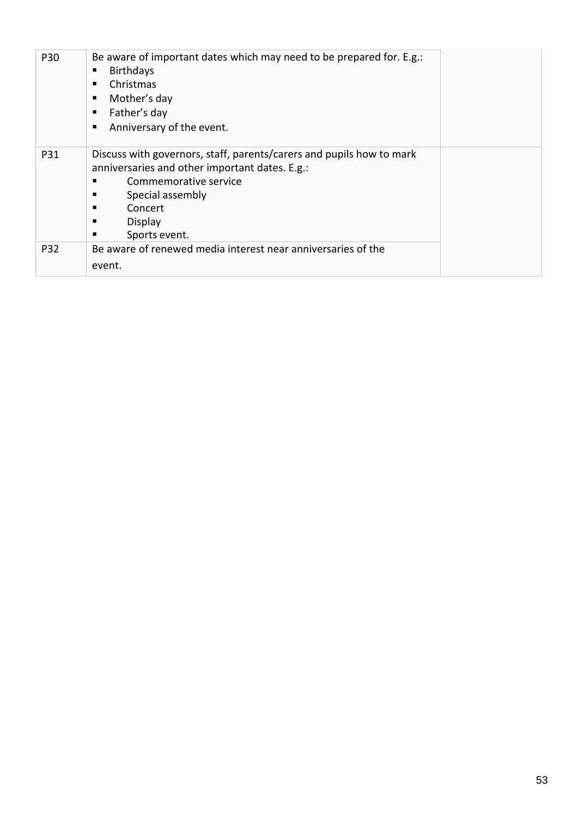| P30 | Be aware of important dates which may need to be prepared for. E.g.:<br><b>Birthdays</b><br>Christmas<br>п<br>Mother's day<br>п<br>Father's day<br>п<br>Anniversary of the event.<br>п                                         |  |
|-----|--------------------------------------------------------------------------------------------------------------------------------------------------------------------------------------------------------------------------------|--|
| P31 | Discuss with governors, staff, parents/carers and pupils how to mark<br>anniversaries and other important dates. E.g.:<br>Commemorative service<br>▪<br>Special assembly<br>Concert<br>п<br>Display<br>п<br>Sports event.<br>п |  |
| P32 | Be aware of renewed media interest near anniversaries of the<br>event.                                                                                                                                                         |  |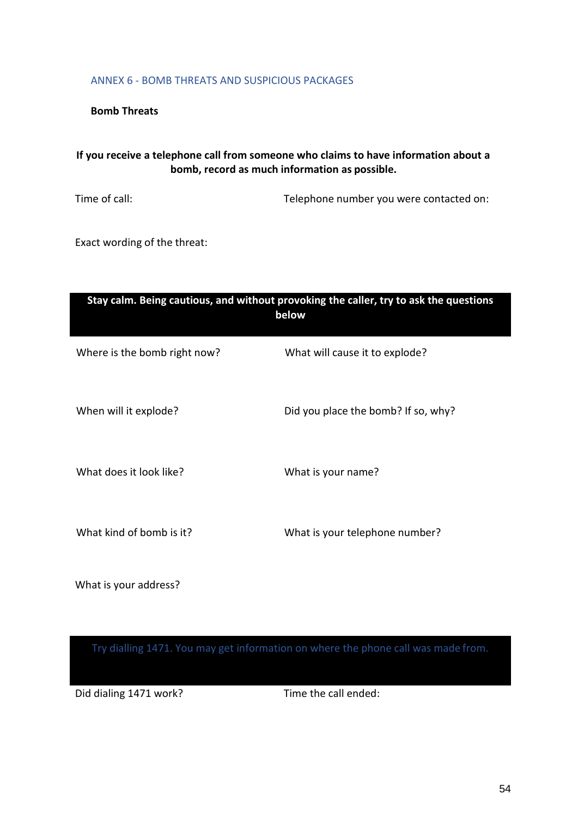#### ANNEX 6 - BOMB THREATS AND SUSPICIOUS PACKAGES

**Bomb Threats**

# **If you receive a telephone call from someone who claims to have information about a bomb, record as much information as possible.**

Time of call: Time of call: Telephone number you were contacted on:

Exact wording of the threat:

| Stay calm. Being cautious, and without provoking the caller, try to ask the questions<br>below |                                     |  |  |
|------------------------------------------------------------------------------------------------|-------------------------------------|--|--|
| Where is the bomb right now?                                                                   | What will cause it to explode?      |  |  |
| When will it explode?                                                                          | Did you place the bomb? If so, why? |  |  |
| What does it look like?                                                                        | What is your name?                  |  |  |
| What kind of bomb is it?                                                                       | What is your telephone number?      |  |  |

What is your address?

Try dialling 1471. You may get information on where the phone call was made from.

Did dialing 1471 work? Time the call ended: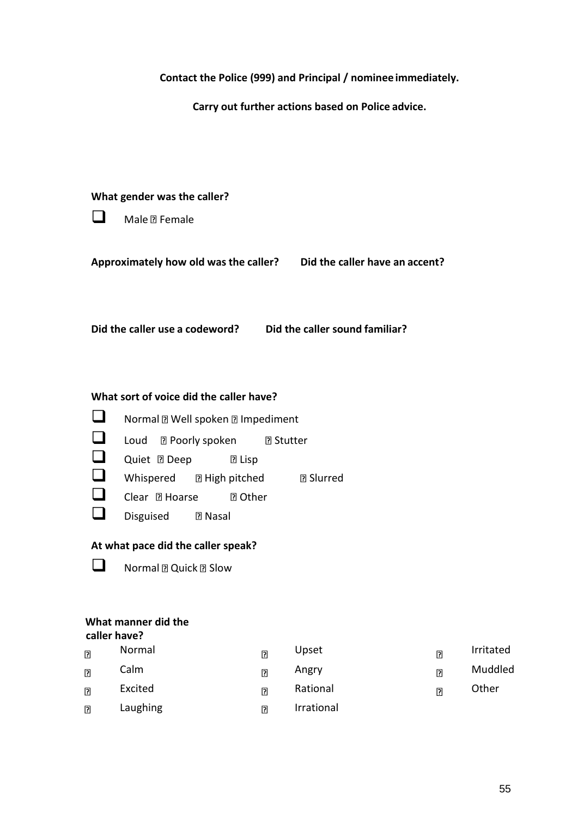| Contact the Police (999) and Principal / nominee immediately. |  |
|---------------------------------------------------------------|--|
|---------------------------------------------------------------|--|

**Carry out further actions based on Police advice.**

#### **What gender was the caller?**

| Male <b>n</b> Female |  |
|----------------------|--|
|----------------------|--|

**Approximately how old was the caller? Did the caller have an accent?**

**Did the caller use a codeword? Did the caller sound familiar?**

#### **What sort of voice did the caller have?**

❑ Normal Well spoken Impediment ❑ Loud Poorly spoken Stutter ❑ Quiet Deep Lisp ❑ Whispered High pitched Slurred ❑ Clear Hoarse Other □ Disguised **R** Nasal

# **At what pace did the caller speak?**

❑ Normal Quick Slow

# **What manner did the**

|                | caller have? |                |            |                |           |  |
|----------------|--------------|----------------|------------|----------------|-----------|--|
| $\overline{2}$ | Normal       | $\overline{2}$ | Upset      | $\overline{2}$ | Irritated |  |
| $\overline{a}$ | Calm         | $\overline{2}$ | Angry      | $\overline{2}$ | Muddled   |  |
| $\overline{P}$ | Excited      | $\overline{2}$ | Rational   | $\overline{2}$ | Other     |  |
| $\overline{2}$ | Laughing     | $\overline{2}$ | Irrational |                |           |  |
|                |              |                |            |                |           |  |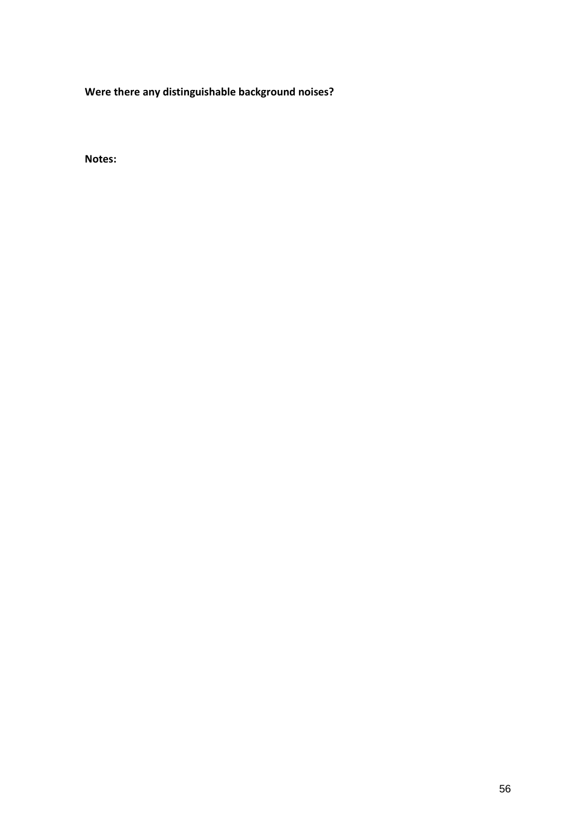**Were there any distinguishable background noises?**

**Notes:**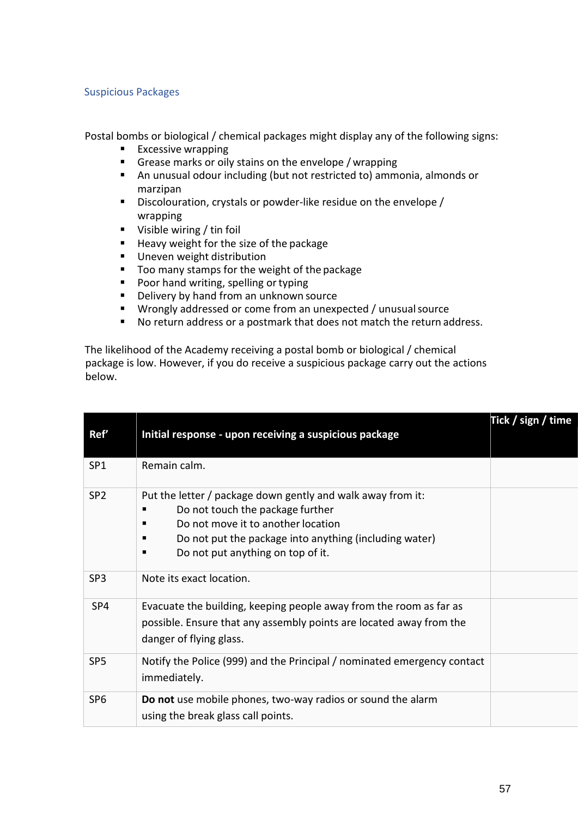## Suspicious Packages

Postal bombs or biological / chemical packages might display any of the following signs:

- Excessive wrapping
- Grease marks or oily stains on the envelope / wrapping
- An unusual odour including (but not restricted to) ammonia, almonds or marzipan
- Discolouration, crystals or powder-like residue on the envelope / wrapping
- Visible wiring / tin foil
- Heavy weight for the size of the package
- Uneven weight distribution
- Too many stamps for the weight of the package
- Poor hand writing, spelling or typing
- Delivery by hand from an unknown source
- Wrongly addressed or come from an unexpected / unusual source
- No return address or a postmark that does not match the return address.

The likelihood of the Academy receiving a postal bomb or biological / chemical package is low. However, if you do receive a suspicious package carry out the actions below.

| Ref'            | Initial response - upon receiving a suspicious package                                                                                                                                                                                              | Tick / sign / time |
|-----------------|-----------------------------------------------------------------------------------------------------------------------------------------------------------------------------------------------------------------------------------------------------|--------------------|
| SP <sub>1</sub> | Remain calm.                                                                                                                                                                                                                                        |                    |
| SP <sub>2</sub> | Put the letter / package down gently and walk away from it:<br>Do not touch the package further<br>п<br>Do not move it to another location<br>Do not put the package into anything (including water)<br>п<br>Do not put anything on top of it.<br>п |                    |
| SP <sub>3</sub> | Note its exact location.                                                                                                                                                                                                                            |                    |
| SP4             | Evacuate the building, keeping people away from the room as far as<br>possible. Ensure that any assembly points are located away from the<br>danger of flying glass.                                                                                |                    |
| SP <sub>5</sub> | Notify the Police (999) and the Principal / nominated emergency contact<br>immediately.                                                                                                                                                             |                    |
| SP <sub>6</sub> | Do not use mobile phones, two-way radios or sound the alarm<br>using the break glass call points.                                                                                                                                                   |                    |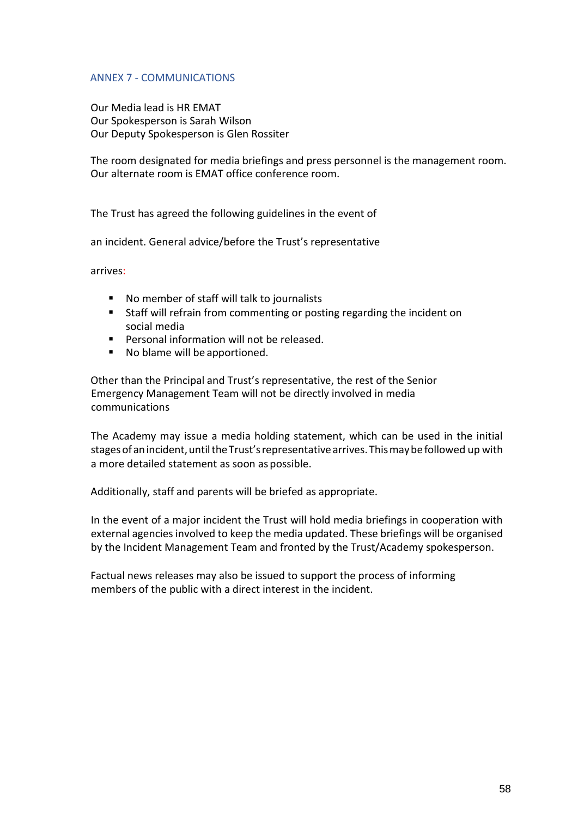## ANNEX 7 - COMMUNICATIONS

Our Media lead is HR EMAT Our Spokesperson is Sarah Wilson Our Deputy Spokesperson is Glen Rossiter

The room designated for media briefings and press personnel is the management room. Our alternate room is EMAT office conference room.

The Trust has agreed the following guidelines in the event of

an incident. General advice/before the Trust's representative

arrives:

- No member of staff will talk to journalists
- Staff will refrain from commenting or posting regarding the incident on social media
- Personal information will not be released.
- No blame will be apportioned.

Other than the Principal and Trust's representative, the rest of the Senior Emergency Management Team will not be directly involved in media communications

The Academy may issue a media holding statement, which can be used in the initial stages of an incident, until the Trust's representative arrives. This may be followed up with a more detailed statement as soon as possible.

Additionally, staff and parents will be briefed as appropriate.

In the event of a major incident the Trust will hold media briefings in cooperation with external agencies involved to keep the media updated. These briefings will be organised by the Incident Management Team and fronted by the Trust/Academy spokesperson.

Factual news releases may also be issued to support the process of informing members of the public with a direct interest in the incident.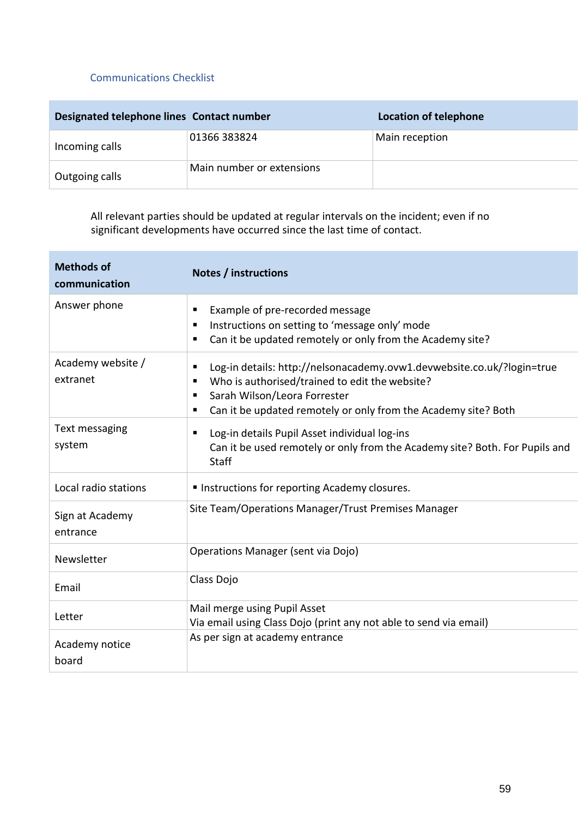## Communications Checklist

| Designated telephone lines Contact number |                           | <b>Location of telephone</b> |
|-------------------------------------------|---------------------------|------------------------------|
| Incoming calls                            | 01366 383824              | Main reception               |
| Outgoing calls                            | Main number or extensions |                              |

All relevant parties should be updated at regular intervals on the incident; even if no significant developments have occurred since the last time of contact.

| <b>Methods of</b><br>communication | Notes / instructions                                                                                                                                                    |  |
|------------------------------------|-------------------------------------------------------------------------------------------------------------------------------------------------------------------------|--|
| Answer phone                       | Example of pre-recorded message<br>п                                                                                                                                    |  |
|                                    | Instructions on setting to 'message only' mode<br>п                                                                                                                     |  |
|                                    | Can it be updated remotely or only from the Academy site?<br>п                                                                                                          |  |
| Academy website /<br>extranet      | Log-in details: http://nelsonacademy.ovw1.devwebsite.co.uk/?login=true<br>٠<br>Who is authorised/trained to edit the website?<br>п<br>Sarah Wilson/Leora Forrester<br>п |  |
|                                    | Can it be updated remotely or only from the Academy site? Both<br>п                                                                                                     |  |
| Text messaging                     | Log-in details Pupil Asset individual log-ins<br>П                                                                                                                      |  |
| system                             | Can it be used remotely or only from the Academy site? Both. For Pupils and<br>Staff                                                                                    |  |
| Local radio stations               | Instructions for reporting Academy closures.                                                                                                                            |  |
| Sign at Academy<br>entrance        | Site Team/Operations Manager/Trust Premises Manager                                                                                                                     |  |
| Newsletter                         | Operations Manager (sent via Dojo)                                                                                                                                      |  |
| Email                              | Class Dojo                                                                                                                                                              |  |
| Letter                             | Mail merge using Pupil Asset                                                                                                                                            |  |
|                                    | Via email using Class Dojo (print any not able to send via email)                                                                                                       |  |
| Academy notice<br>board            | As per sign at academy entrance                                                                                                                                         |  |